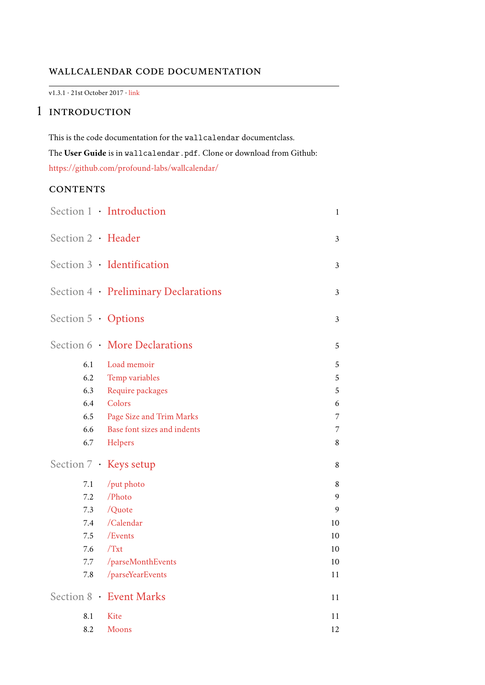## wallcalendar code documentation

v1.3.1 · 21st October 2017 · [link](https://github.com/profound-labs/wallcalendar/)

# <span id="page-0-0"></span>1 INTRODUCTION

This is the code documentation for the wallcalendar documentclass. The **User Guide** is in wallcalendar.pdf. Clone or download from Github: <https://github.com/profound-labs/wallcalendar/>

# **CONTENTS**

|                           | Section 1 · Introduction             | $\mathbf{1}$   |
|---------------------------|--------------------------------------|----------------|
| Section 2 · Header        |                                      | 3              |
|                           | Section 3 Identification             | 3              |
|                           | Section 4 · Preliminary Declarations | $\mathfrak{Z}$ |
| Section $5 \cdot$ Options |                                      | 3              |
|                           | Section 6 More Declarations          | 5              |
| 6.1                       | Load memoir                          | 5              |
|                           | 6.2 Temp variables                   | 5              |
| 6.3                       | Require packages                     | 5              |
|                           | 6.4 Colors                           | 6              |
|                           | 6.5 Page Size and Trim Marks         | 7              |
| 6.6                       | Base font sizes and indents          | 7              |
| 6.7                       | Helpers                              | 8              |
|                           | Section 7 · Keys setup               | 8              |
| 7.1                       | /put photo                           | 8              |
| 7.2                       | /Photo                               | 9              |
|                           | 7.3 $/Quote$                         | 9              |
|                           | 7.4 /Calendar                        | 10             |
|                           | 7.5 /Events                          | 10             |
|                           | $7.6$ /Txt                           | 10             |
| 7.7                       | /parseMonthEvents                    | 10             |
| 7.8                       | /parseYearEvents                     | 11             |
|                           | Section 8 · Event Marks              | 11             |
| 8.1                       | Kite                                 | 11             |
| 8.2                       | <b>Moons</b>                         | 12             |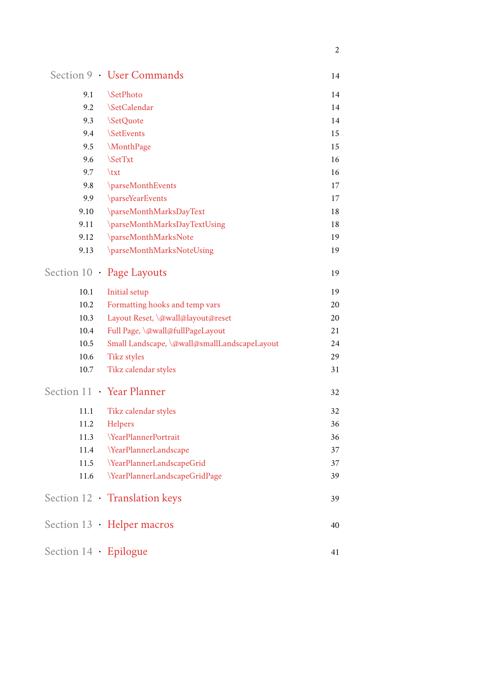|                             | Section 9 · User Commands                    | 14 |
|-----------------------------|----------------------------------------------|----|
| 9.1                         | <b>SetPhoto</b>                              | 14 |
| 9.2                         | <b>SetCalendar</b>                           | 14 |
| 9.3                         | \SetQuote                                    | 14 |
| 9.4                         | <b>SetEvents</b>                             | 15 |
| 9.5                         | \MonthPage                                   | 15 |
| 9.6                         | <b>SetTxt</b>                                | 16 |
| 9.7                         | $\text{txt}$                                 | 16 |
| 9.8                         | \parseMonthEvents                            | 17 |
| 9.9                         | \parseYearEvents                             | 17 |
| 9.10                        | \parseMonthMarksDayText                      | 18 |
| 9.11                        | \parseMonthMarksDayTextUsing                 | 18 |
| 9.12                        | \parseMonthMarksNote                         | 19 |
| 9.13                        | \parseMonthMarksNoteUsing                    | 19 |
|                             | Section 10 · Page Layouts                    | 19 |
| 10.1                        | Initial setup                                | 19 |
| 10.2                        | Formatting hooks and temp vars               | 20 |
| 10.3                        | Layout Reset, \@wall@layout@reset            | 20 |
| 10.4                        | Full Page, \@wall@fullPageLayout             | 21 |
| 10.5                        | Small Landscape, \@wall@smallLandscapeLayout | 24 |
| 10.6                        | <b>Tikz styles</b>                           | 29 |
| 10.7                        | Tikz calendar styles                         | 31 |
|                             | Section 11 · Year Planner                    | 32 |
| 11.1                        | Tikz calendar styles                         | 32 |
| 11.2                        | Helpers                                      | 36 |
| 11.3                        | <b>YearPlannerPortrait</b>                   | 36 |
| 11.4                        | \YearPlannerLandscape                        | 37 |
| 11.5                        | \YearPlannerLandscapeGrid                    | 37 |
| 11.6                        | \YearPlannerLandscapeGridPage                | 39 |
|                             | Section 12 · Translation keys                | 39 |
|                             | Section 13 · Helper macros                   | 40 |
| Section $14 \cdot$ Epilogue |                                              | 41 |

2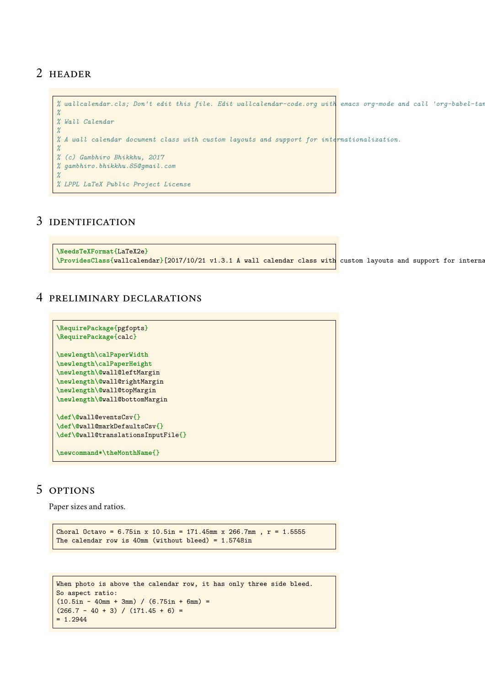# <span id="page-2-0"></span>2 header

```
% wallcalendar.cls; Don't edit this file. Edit wallcalendar-code.org with emacs org-mode and call 'org-babel-tangle'.
%
% Wall Calendar
%
% A wall calendar document class with custom layouts and support for internationalization.
%
% (c) Gambhiro Bhikkhu, 2017
% gambhiro.bhikkhu.85@gmail.com
%
% LPPL LaTeX Public Project License
```
# <span id="page-2-1"></span>3 identification

```
\NeedsTeXFormat{LaTeX2e}
\ProvidesClass{wallcalendar}[2017/10/21 v1.3.1 A wall calendar class with custom layouts and support for internationalization.]
```
## <span id="page-2-2"></span>4 preliminary declarations

```
\RequirePackage{pgfopts}
\RequirePackage{calc}
\newlength\calPaperWidth
\newlength\calPaperHeight
\newlength\@wall@leftMargin
\newlength\@wall@rightMargin
\newlength\@wall@topMargin
\newlength\@wall@bottomMargin
\def\@wall@eventsCsv{}
\def\@wall@markDefaultsCsv{}
\def\@wall@translationsInputFile{}
\newcommand*\theMonthName{}
```
# <span id="page-2-3"></span>5 OPTIONS

Paper sizes and ratios.

```
Choral Octavo = 6.75in x 10.5in = 171.45mm x 266.7mm, r = 1.5555The calendar row is 40mm (without bleed) = 1.5748in
```

```
When photo is above the calendar row, it has only three side bleed.
So aspect ratio:
(10.5in - 40mm + 3mm) / (6.75in + 6mm)(266.7 - 40 + 3) / (171.45 + 6) == 1.2944
```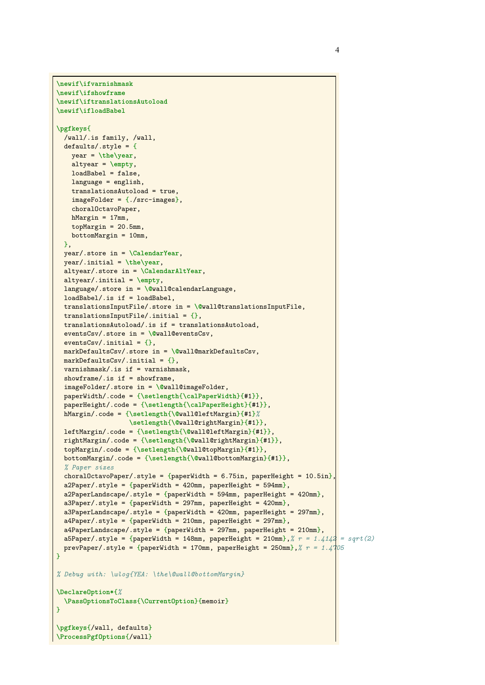```
\newif\ifvarnishmask
\newif\ifshowframe
\newif\iftranslationsAutoload
\newif\ifloadBabel
\pgfkeys{
  /wall/.is family, /wall,
  defaults/.style = {
    year = \the\year,
    altyear = \empty,
    loadBabel = false,
    language = english,
    translationsAutoload = true,
   imageFolder = {./src-images},
    choralOctavoPaper,
   hMargin = 17mm,topgMargin = 20.5mm,
   bottomMargin = 10mm,
 },
 year/.store in = \CalendarYear,
  year/.initial = \the\year,
  altyear/.store in = \CalendarAltYear,
  altyear/.initial = \empty,
  language/.store in = \@wall@calendarLanguage,
  loadBabel/.is if = loadBabel,
  translationsInputFile/.store in = \@wall@translationsInputFile,
  translationsInputFile/.initial = {},
  translationsAutoload/.is if = translationsAutoload,
  eventsCsv/.store in = \@wall@eventsCsv,
  eventsCsv/.initial = \{\},markDefaultsCsv/.store in = \@wall@markDefaultsCsv,
  markDefaultsCsv/.initial = \{\},varnishmask/.is if = varnishmask,
  showframe/.is if = showframe,
  imageFolder/.store in = \@wall@imageFolder,
  paperWidth/.code = {\setlength{\calPaperWidth}{#1}},
  paperHeight/.code = {\setlength{\calPaperHeight}{#1}},
 hMargin/.code = {\setlength{\@wall@leftMargin}{#1}%
                   \setlength{\@wall@rightMargin}{#1}},
 leftMargin/.code = {\setlength{\@wall@leftMargin}{#1}},
  rightMargin/.code = {\setlength{\@wall@rightMargin}{#1}},
  topMargin/.code = {\setlength{\@wall@topMargin}{#1}},
  bottomMargin/.code = {\setlength{\@wall@bottomMargin}{#1}},
  % Paper sizes
  choralOctavoPaper/.style = {paperWidth = 6.75in, paperHeight = 10.5in}
  a2Paper/.style = {paperWidth = 420mm, paperHeight = 594mm},a2PaperLandscape/.style = {paperWidth = 594mm, paperHeight = 420mm},
  a3Paper/.style = {paperWidth = 297mm, paperHeight = 420mm},a3PaperLandscape/.style = {paperWidth = 420mm, paperHeight = 297mm},
  a4Paper/.style = {paperWidth = 210mm, paperHeight = 297mm},a4PaperLandscape/.style = {paperWidth = 297mm, paperHeight = 210mm},a5Paper/.style = {paperWidth = 148mm, paperHeight = 210mm}, % r = 1.4142 = sqrt(2)prevPaper/.style = {paperWidth = 170mm, paperHeight = 250mm},% r = 1.4705
}
% Debug with: \wlog{YEA: \the\@wall@bottomMargin}
\DeclareOption*{%
 \PassOptionsToClass{\CurrentOption}{memoir}
}
\pgfkeys{/wall, defaults}
```
**\ProcessPgfOptions**{/wall}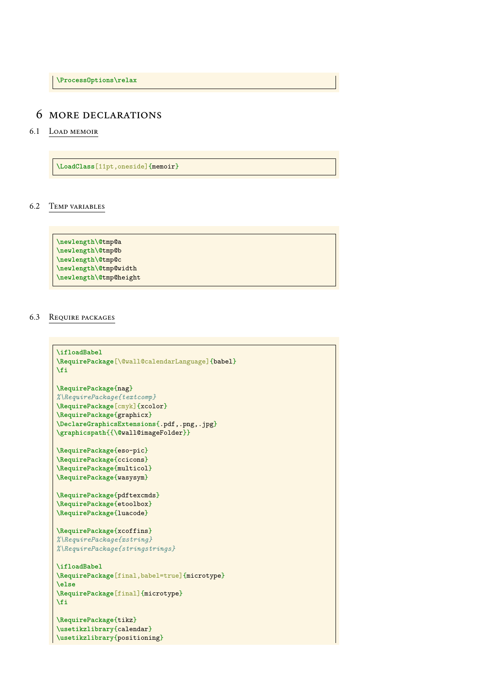**\ProcessOptions\relax**

## <span id="page-4-1"></span><span id="page-4-0"></span>6 more declarations

### 6.1 Load memoir

**\LoadClass**[11pt,oneside]{memoir}

### <span id="page-4-2"></span>6.2 Temp variables

**\newlength\@**tmp@a **\newlength\@**tmp@b **\newlength\@**tmp@c **\newlength\@**tmp@width **\newlength\@**tmp@height

### <span id="page-4-3"></span>6.3 Require packages

```
\ifloadBabel
\RequirePackage[\@wall@calendarLanguage]{babel}
\fi
\RequirePackage{nag}
%\RequirePackage{textcomp}
\RequirePackage[cmyk]{xcolor}
\RequirePackage{graphicx}
\DeclareGraphicsExtensions{.pdf,.png,.jpg}
\graphicspath{{\@wall@imageFolder}}
\RequirePackage{eso-pic}
\RequirePackage{ccicons}
\RequirePackage{multicol}
\RequirePackage{wasysym}
\RequirePackage{pdftexcmds}
\RequirePackage{etoolbox}
\RequirePackage{luacode}
\RequirePackage{xcoffins}
%\RequirePackage{xstring}
%\RequirePackage{stringstrings}
\ifloadBabel
\RequirePackage[final,babel=true]{microtype}
\else
\RequirePackage[final]{microtype}
\fi
\RequirePackage{tikz}
\usetikzlibrary{calendar}
\usetikzlibrary{positioning}
```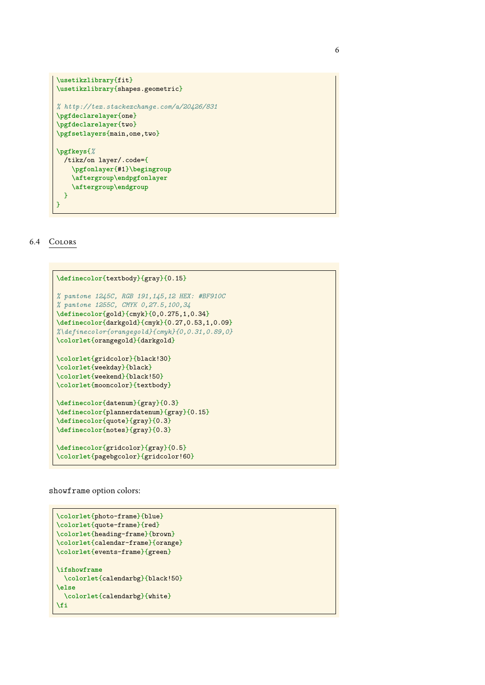```
\usetikzlibrary{fit}
\usetikzlibrary{shapes.geometric}
% http://tex.stackexchange.com/a/20426/831
\pgfdeclarelayer{one}
\pgfdeclarelayer{two}
\pgfsetlayers{main,one,two}
\pgfkeys{%
 /tikz/on layer/.code={
    \pgfonlayer{#1}\begingroup
    \aftergroup\endpgfonlayer
    \aftergroup\endgroup
 }
}
```
#### <span id="page-5-0"></span>6.4 Colors

```
\definecolor{textbody}{gray}{0.15}
% pantone 1245C, RGB 191,145,12 HEX: #BF910C
% pantone 1255C, CMYK 0,27.5,100,34
\definecolor{gold}{cmyk}{0,0.275,1,0.34}
\definecolor{darkgold}{cmyk}{0.27,0.53,1,0.09}
%\definecolor{orangegold}{cmyk}{0,0.31,0.89,0}
\colorlet{orangegold}{darkgold}
\colorlet{gridcolor}{black!30}
\colorlet{weekday}{black}
\colorlet{weekend}{black!50}
\colorlet{mooncolor}{textbody}
\definecolor{datenum}{gray}{0.3}
\definecolor{plannerdatenum}{gray}{0.15}
\definecolor{quote}{gray}{0.3}
\definecolor{notes}{gray}{0.3}
\definecolor{gridcolor}{gray}{0.5}
\colorlet{pagebgcolor}{gridcolor!60}
```
#### showframe option colors:

```
\colorlet{photo-frame}{blue}
\colorlet{quote-frame}{red}
\colorlet{heading-frame}{brown}
\colorlet{calendar-frame}{orange}
\colorlet{events-frame}{green}
\ifshowframe
 \colorlet{calendarbg}{black!50}
\else
 \colorlet{calendarbg}{white}
\fi
```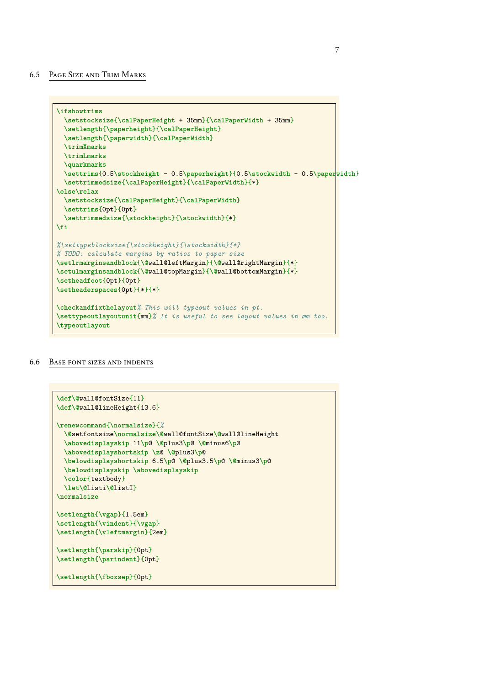#### <span id="page-6-0"></span>6.5 Page Size and Trim Marks

```
\ifshowtrims
  \setstocksize{\calPaperHeight + 35mm}{\calPaperWidth + 35mm}
  \setlength{\paperheight}{\calPaperHeight}
  \setlength{\paperwidth}{\calPaperWidth}
  \trimXmarks
  \trimLmarks
  \quarkmarks
  \settrims{0.5\stockheight - 0.5\paperheight}{0.5\stockwidth - 0.5\paperwidth}
  \settrimmedsize{\calPaperHeight}{\calPaperWidth}{*}
\else\relax
  \setstocksize{\calPaperHeight}{\calPaperWidth}
  \settrims{0pt}{0pt}
  \settrimmedsize{\stockheight}{\stockwidth}{*}
\fi
%\settypeblocksize{\stockheight}{\stockwidth}{*}
% TODO: calculate margins by ratios to paper size
\setlrmarginsandblock{\@wall@leftMargin}{\@wall@rightMargin}{*}
\setulmarginsandblock{\@wall@topMargin}{\@wall@bottomMargin}{*}
\setheadfoot{0pt}{0pt}
\setheaderspaces{0pt}{*}{*}
\checkandfixthelayout% This will typeout values in pt.
\settypeoutlayoutunit{mm}% It is useful to see layout values in mm too.
\typeoutlayout
```
#### <span id="page-6-1"></span>6.6 Base font sizes and indents

```
\def\@wall@fontSize{11}
\def\@wall@lineHeight{13.6}
\renewcommand{\normalsize}{%
  \@setfontsize\normalsize\@wall@fontSize\@wall@lineHeight
 \abovedisplayskip 11\p@ \@plus3\p@ \@minus6\p@
 \abovedisplayshortskip \z@ \@plus3\p@
  \belowdisplayshortskip 6.5\p@ \@plus3.5\p@ \@minus3\p@
 \belowdisplayskip \abovedisplayskip
  \color{textbody}
 \let\@listi\@listI}
\normalsize
\setlength{\vgap}{1.5em}
\setlength{\vindent}{\vgap}
\setlength{\vleftmargin}{2em}
\setlength{\parskip}{0pt}
\setlength{\parindent}{0pt}
\setlength{\fboxsep}{0pt}
```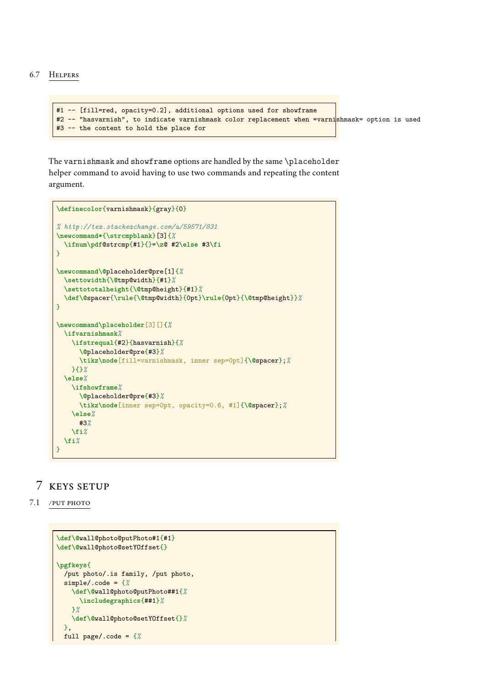### <span id="page-7-0"></span>6.7 Helpers

```
#1 -- [fill=red, opacity=0.2], additional options used for showframe
#2 -- "hasvarnish", to indicate varnishmask color replacement when =varnishmask= option is used
#3 -- the content to hold the place for
```
The varnishmask and showframe options are handled by the same \placeholder helper command to avoid having to use two commands and repeating the content argument.

```
\definecolor{varnishmask}{gray}{0}
% http://tex.stackexchange.com/a/59571/831
\newcommand*{\strcmpblank}[3]{%
  \ifnum\pdf@strcmp{#1}{}=\z@ #2\else #3\fi
}
\newcommand\@placeholder@pre[1]{%
 \settowidth{\@tmp@width}{#1}%
  \settototalheight{\@tmp@height}{#1}%
  \def\@spacer{\rule{\@tmp@width}{0pt}\rule{0pt}{\@tmp@height}}%
}
\newcommand\placeholder[3][]{%
 \ifvarnishmask%
    \ifstrequal{#2}{hasvarnish}{%
      \@placeholder@pre{#3}%
      \tikz\node[fill=varnishmask, inner sep=0pt]{\@spacer};%
    }{}%
  \else%
    \ifshowframe%
      \@placeholder@pre{#3}%
      \tikz\node[inner sep=0pt, opacity=0.6, #1]{\@spacer};%
    \else%
      #3%
    \fi%
  \fi%
}
```
# <span id="page-7-2"></span><span id="page-7-1"></span>7 keys setup

### 7.1 /put photo

```
\def\@wall@photo@putPhoto#1{#1}
\def\@wall@photo@setYOffset{}
\pgfkeys{
 /put photo/.is family, /put photo,
 simple/.code = {%
   \def\@wall@photo@putPhoto##1{%
      \includegraphics{##1}%
   }%
   \def\@wall@photo@setYOffset{}%
 },
 full page/.code = {%
```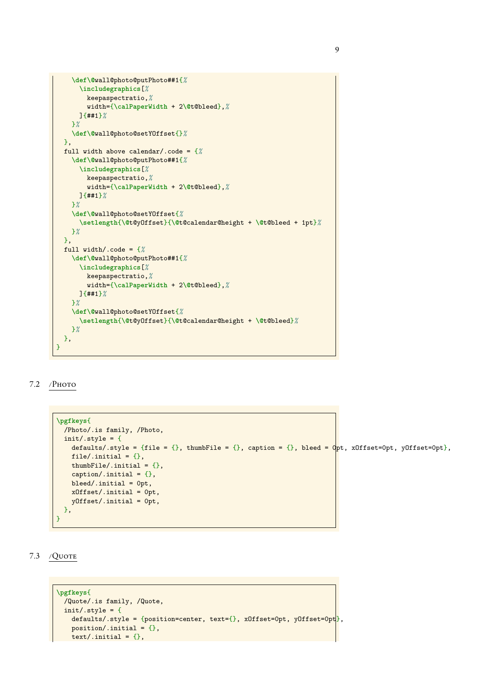```
\def\@wall@photo@putPhoto##1{%
      \includegraphics[%
       keepaspectratio,%
        width={\calPaperWidth + 2\@t@bleed},%
     ]{##1}%
    }%
    \def\@wall@photo@setYOffset{}%
 },
 full width above calendar/.code = {%
    \def\@wall@photo@putPhoto##1{%
     \includegraphics[%
        keepaspectratio,%
       width={\calPaperWidth + 2\@t@bleed},%
     ]{##1}%
    }%
    \def\@wall@photo@setYOffset{%
      \setlength{\@t@yOffset}{\@t@calendar@height + \@t@bleed + 1pt}%
    }%
 },
 full width/.code = {%
    \def\@wall@photo@putPhoto##1{%
     \includegraphics[%
       keepaspectratio,%
       width={\calPaperWidth + 2\@t@bleed},%
     ]{##1}%
    }%
    \def\@wall@photo@setYOffset{%
     \setlength{\@t@yOffset}{\@t@calendar@height + \@t@bleed}%
    }%
 },
}
```
### <span id="page-8-0"></span> $7.2$  /Photo

```
\pgfkeys{
  /Photo/.is family, /Photo,
  init/.style = {defaults/.style = {file = {}, thumbFile = {}, caption = {}, bleed = \varphipt, xOffset=Opt, yOffset=Opt},
    file/.initial = \{\},
    thumbFile/.initial = \{\},
    caption/.initial = \{\},
    bleed/.initial = 0pt,
    xOffset/.initial = 0pt,
    yOffset/.initial = 0pt,
  },
}
```
<span id="page-8-1"></span>7.3 / Quote

```
\pgfkeys{
 /Quote/.is family, /Quote,
 init/.style = {defaults/.style = {position=center, text={}, xOffset=0pt, yOffset=0pt},
   position/.initial = \{\},text/.initial = \{\},
```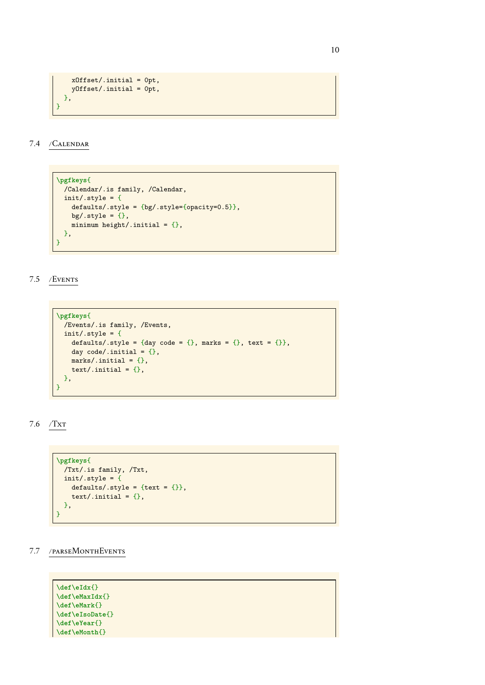```
xOffset/.initial = 0pt,
    yOffset/.initial = 0pt,
 },
}
```
<span id="page-9-0"></span>7.4 /Calendar

```
\pgfkeys{
 /Calendar/.is family, /Calendar,
 init/.style = {defaults/.style = {bg/.style={opacity=0.5}},
    bg/.style = \{\},
   minimum height/.initial = \{\},
 },
}
```
<span id="page-9-1"></span>7.5 /Events

```
\pgfkeys{
 /Events/.is family, /Events,
 init/.style = {defaults/.style = {day code = {}, marks = {}, text = {}},
    day code/.initial = \{\},marks/.initial = \{\},
   text/.initial = \{\},
 },
}
```
<span id="page-9-2"></span>7.6 /Txt

```
\pgfkeys{
  /Txt/.is family, /Txt,
  init/.style = {defaults/.style = \{text = } \{\},
    text/.initial = \{\},
  },
}
```
<span id="page-9-3"></span>7.7 /parseMonthEvents

| $\left\{ \left\{ \right\} \right\}$ |
|-------------------------------------|
| $\left\{ \text{U}\right\}$          |
| $\left\{ \right\}$                  |
| $\setminus$ \def\eIsoDate{}         |
| $\left\{ \left\{ \right\} \right\}$ |
| $\def\{mb] \def\[ ]$                |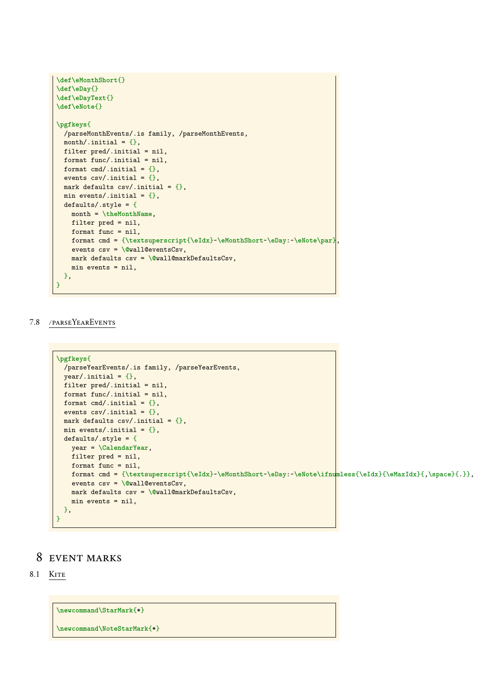```
\def\eMonthShort{}
\def\eDay{}
\def\eDayText{}
\def\eNote{}
\pgfkeys{
 /parseMonthEvents/.is family, /parseMonthEvents,
 month/.initial = \{\},
 filter pred/.initial = nil,
 format func/.initial = nil,
 format cmd/.initial = \{\},
  events \text{csv}/\text{.initial} = \{\},
  mark defaults csv/ . initial = {},
  min events/.initial = \{\},
  defaults/.style = {
   month = \theMonthName,
   filter pred = nil,
   format func = nil,
   format cmd = {\textsuperscript{\eIdx}~\eMonthShort~\eDay:~\eNote\par},
    events csv = \@wall@eventsCsv,
   mark defaults csv = \@wall@markDefaultsCsv,
   min events = nil,
 },
}
```
### <span id="page-10-0"></span>7.8 /parseYearEvents

```
\pgfkeys{
  /parseYearEvents/.is family, /parseYearEvents,
  year/.initial = {},
  filter pred/.initial = nil,
  format func/.initial = nil,
  format cmd/.initial = \{\},
  events csv. initial = {},
  mark defaults \text{csv}/\text{.initial} = \{\},min events/.initial = \{\},
  defaults/.style = {
    year = \CalendarYear,
    filter pred = nil,
    format func = nil,
    format cmd = {\textsuperscript{\eIdx}~\eMonthShort~\eDay:~\eNote\ifnumless{\eIdx}{\eMaxIdx}{,\space}{.}},
    events csv = \@wall@eventsCsv,
    mark defaults csv = \@wall@markDefaultsCsv,
    min events = nil,
  },
}
```
## <span id="page-10-2"></span><span id="page-10-1"></span>8 event marks

8.1 KITE

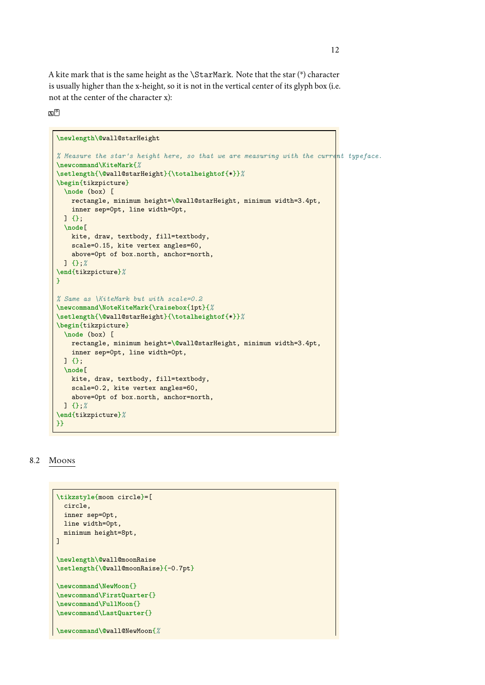A kite mark that is the same height as the \StarMark. Note that the star (\*) character is usually higher than the x-height, so it is not in the vertical center of its glyph box (i.e. not at the center of the character x):

### $\mathbf{X}^{\mathbb{R}}$

```
\newlength\@wall@starHeight
% Measure the star's height here, so that we are measuring with the current typeface.
\newcommand\KiteMark{%
\setlength{\@wall@starHeight}{\totalheightof{*}}%
\begin{tikzpicture}
  \node (box) [
    rectangle, minimum height=\@wall@starHeight, minimum width=3.4pt,
    inner sep=0pt, line width=0pt,
 ] {};
  \node[
    kite, draw, textbody, fill=textbody,
    scale=0.15, kite vertex angles=60,
    above=0pt of box.north, anchor=north,
 ] {};%
\end{tikzpicture}%
}
% Same as \KiteMark but with scale=0.2
\newcommand\NoteKiteMark{\raisebox{1pt}{%
\setlength{\@wall@starHeight}{\totalheightof{*}}%
\begin{tikzpicture}
 \node (box) [
    rectangle, minimum height=\@wall@starHeight, minimum width=3.4pt,
    inner sep=0pt, line width=0pt,
  ] {};
  \node[
    kite, draw, textbody, fill=textbody,
    scale=0.2, kite vertex angles=60,
    above=0pt of box.north, anchor=north,
 ] {};%
\end{tikzpicture}%
}}
```
#### <span id="page-11-0"></span>8.2 Moons

```
\tikzstyle{moon circle}=[
 circle,
 inner sep=0pt,
 line width=0pt,
 minimum height=8pt,
]
\newlength\@wall@moonRaise
\setlength{\@wall@moonRaise}{-0.7pt}
\newcommand\NewMoon{}
\newcommand\FirstQuarter{}
\newcommand\FullMoon{}
\newcommand\LastQuarter{}
\newcommand\@wall@NewMoon{%
```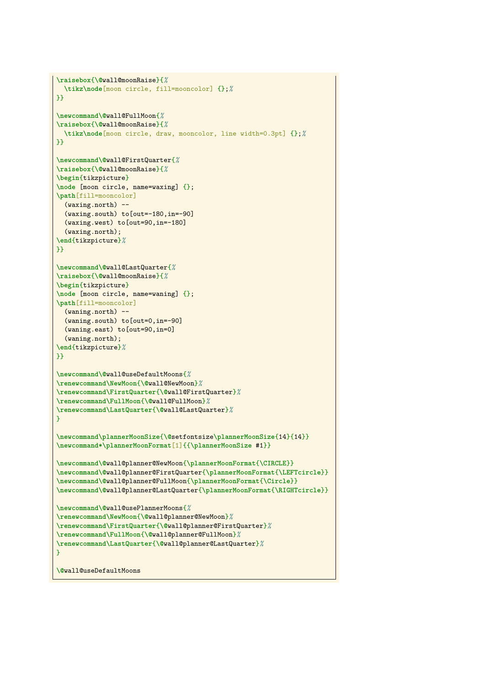```
\raisebox{\@wall@moonRaise}{%
  \tikz\node[moon circle, fill=mooncolor] {};%
}}
\newcommand\@wall@FullMoon{%
\raisebox{\@wall@moonRaise}{%
 \tikz\node[moon circle, draw, mooncolor, line width=0.3pt] {};%
}}
\newcommand\@wall@FirstQuarter{%
\raisebox{\@wall@moonRaise}{%
\begin{tikzpicture}
\node [moon circle, name=waxing] {};
\path[fill=mooncolor]
  (waxing.north) --
  (waxing.south) to[out=-180,in=-90]
  (waxing.west) to[out=90,in=-180]
 (waxing.north);
\end{tikzpicture}%
}}
\newcommand\@wall@LastQuarter{%
\raisebox{\@wall@moonRaise}{%
\begin{tikzpicture}
\node [moon circle, name=waning] {};
\path[fill=mooncolor]
  (waning.north) --
  (waning.south) to[out=0,in=-90]
  (waning.east) to[out=90,in=0]
  (waning.north);
\end{tikzpicture}%
}}
\newcommand\@wall@useDefaultMoons{%
\renewcommand\NewMoon{\@wall@NewMoon}%
\renewcommand\FirstQuarter{\@wall@FirstQuarter}%
\renewcommand\FullMoon{\@wall@FullMoon}%
\renewcommand\LastQuarter{\@wall@LastQuarter}%
}
\newcommand\plannerMoonSize{\@setfontsize\plannerMoonSize{14}{14}}
\newcommand*\plannerMoonFormat[1]{{\plannerMoonSize #1}}
\newcommand\@wall@planner@NewMoon{\plannerMoonFormat{\CIRCLE}}
\newcommand\@wall@planner@FirstQuarter{\plannerMoonFormat{\LEFTcircle}}
\newcommand\@wall@planner@FullMoon{\plannerMoonFormat{\Circle}}
\newcommand\@wall@planner@LastQuarter{\plannerMoonFormat{\RIGHTcircle}}
\newcommand\@wall@usePlannerMoons{%
\renewcommand\NewMoon{\@wall@planner@NewMoon}%
\renewcommand\FirstQuarter{\@wall@planner@FirstQuarter}%
\renewcommand\FullMoon{\@wall@planner@FullMoon}%
\renewcommand\LastQuarter{\@wall@planner@LastQuarter}%
}
\@wall@useDefaultMoons
```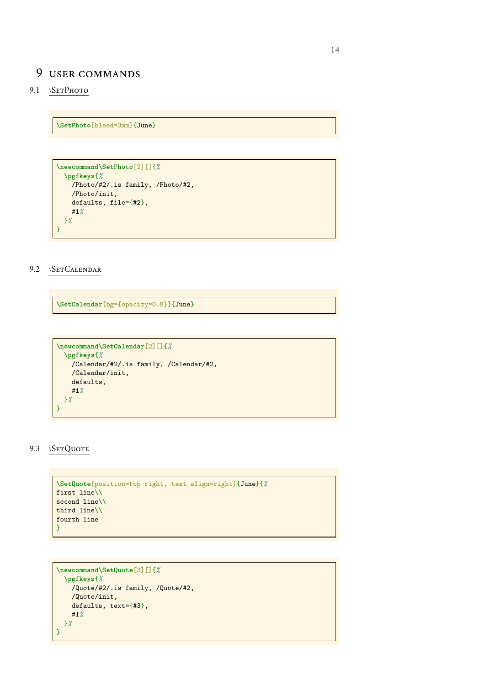# <span id="page-13-0"></span>9 user commands

## 9.1 \SETPHOTO

**\SetPhoto**[bleed=3mm]{June}

```
\newcommand\SetPhoto[2][]{%
  \pgfkeys{%
    /Photo/#2/.is family, /Photo/#2,
    /Photo/init,
    defaults, file={#2},
    #1%
 }%
}
```
### <span id="page-13-1"></span>9.2 \SETCALENDAR

**\SetCalendar**[bg={opacity=0.8}]{June}

```
\newcommand\SetCalendar[2][]{%
  \pgfkeys{%
    /Calendar/#2/.is family, /Calendar/#2,
    /Calendar/init,
    defaults,
    #1%
 }%
}
```
### <span id="page-13-2"></span>9.3 \SETQUOTE

```
\SetQuote[position=top right, text align=right]{June}{%
first line\\
second line\\
third line\\
fourth line
}
```

```
\newcommand\SetQuote[3][]{%
  \pgfkeys{%
    /Quote/#2/.is family, /Quote/#2,
    /Quote/init,
    defaults, text={#3},
    #1%
 }%
}
```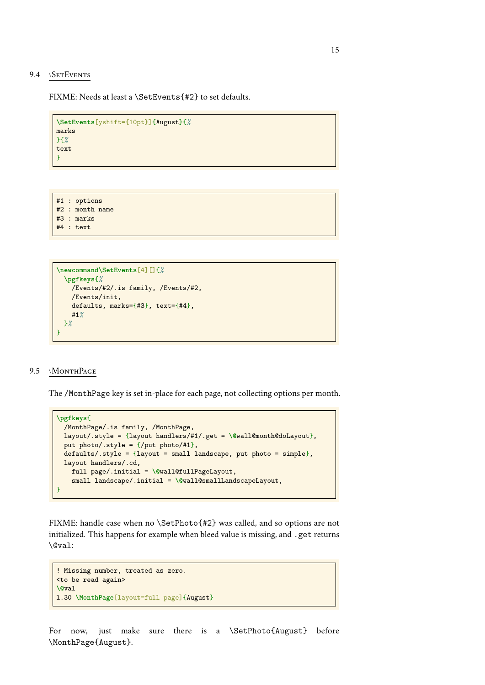#### <span id="page-14-0"></span>9.4 \SETEVENTS

FIXME: Needs at least a \SetEvents{#2} to set defaults.

```
\SetEvents[yshift={10pt}]{August}{%
marks
}{%
text
}
```
#1 : options #2 : month name #3 : marks

#4 : text

```
\newcommand\SetEvents[4][]{%
 \pgfkeys{%
    /Events/#2/.is family, /Events/#2,
    /Events/init,
    defaults, marks={#3}, text={#4},
    #1%
 }%
}
```
### <span id="page-14-1"></span>9.5 \MONTHPAGE

The /MonthPage key is set in-place for each page, not collecting options per month.

```
\pgfkeys{
 /MonthPage/.is family, /MonthPage,
 layout/.style = {layout handlers/#1/.get = \@wall@month@doLayout},
 put photo/.style = \{/put photo/#1\},
 defaults/.style = {layout = small landscape, put photo = simple},layout handlers/.cd,
    full page/.initial = \@wall@fullPageLayout,
    small landscape/.initial = \@wall@smallLandscapeLayout,
}
```
FIXME: handle case when no \SetPhoto{#2} was called, and so options are not initialized. This happens for example when bleed value is missing, and .get returns \@val:

```
! Missing number, treated as zero.
<to be read again>
\@val
l.30 \MonthPage[layout=full page]{August}
```
For now, just make sure there is a \SetPhoto{August} before \MonthPage{August}.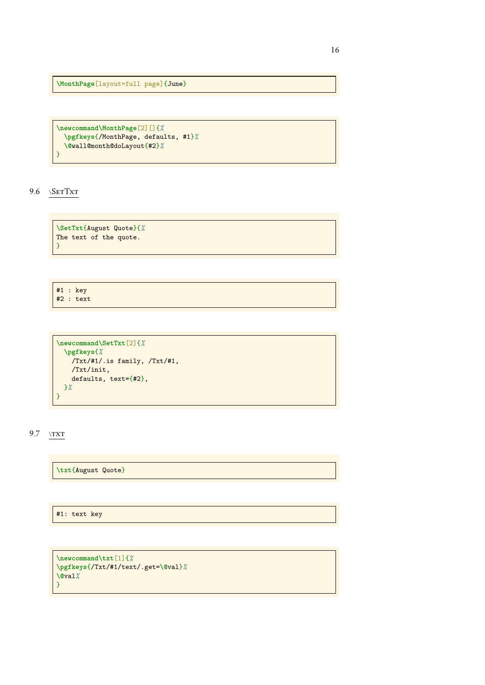**\MonthPage**[layout=full page]{June}

```
\newcommand\MonthPage[2][]{%
 \pgfkeys{/MonthPage, defaults, #1}%
  \@wall@month@doLayout{#2}%
}
```
<span id="page-15-0"></span>9.6 \SETTXT

**\SetTxt**{August Quote}{*%* The text of the quote. }

#1 : key #2 : text

```
\newcommand\SetTxt[2]{%
 \pgfkeys{%
   /Txt/#1/.is family, /Txt/#1,
   /Txt/init,
   defaults, text={#2},
 }%
}
```
<span id="page-15-1"></span>9.7 \txt

**\txt**{August Quote}

#1: text key

```
\newcommand\txt[1]{%
\pgfkeys{/Txt/#1/text/.get=\@val}%
\@val%
}
```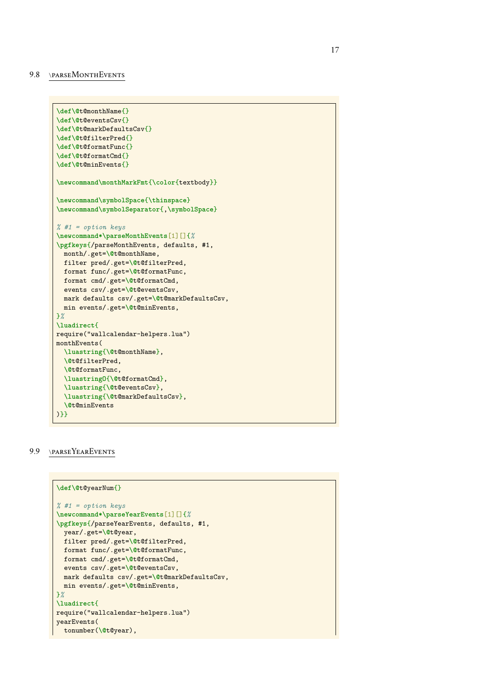#### <span id="page-16-0"></span>9.8 \PARSEMONTHEVENTS

```
\def\@t@monthName{}
\def\@t@eventsCsv{}
\def\@t@markDefaultsCsv{}
\def\@t@filterPred{}
\def\@t@formatFunc{}
\def\@t@formatCmd{}
\def\@t@minEvents{}
\newcommand\monthMarkFmt{\color{textbody}}
\newcommand\symbolSpace{\thinspace}
\newcommand\symbolSeparator{,\symbolSpace}
% #1 = option keys
\newcommand*\parseMonthEvents[1][]{%
\pgfkeys{/parseMonthEvents, defaults, #1,
 month/.get=\@t@monthName,
 filter pred/.get=\@t@filterPred,
 format func/.get=\@t@formatFunc,
 format cmd/.get=\@t@formatCmd,
 events csv/.get=\@t@eventsCsv,
 mark defaults csv/.get=\@t@markDefaultsCsv,
 min events/.get=\@t@minEvents,
}%
\luadirect{
require("wallcalendar-helpers.lua")
monthEvents(
  \luastring{\@t@monthName},
  \@t@filterPred,
  \@t@formatFunc,
  \luastringO{\@t@formatCmd},
  \luastring{\@t@eventsCsv},
  \luastring{\@t@markDefaultsCsv},
  \@t@minEvents
)}}
```
#### <span id="page-16-1"></span>9.9 \PARSEYEAREVENTS

```
\def\@t@yearNum{}
% #1 = option keys
\newcommand*\parseYearEvents[1][]{%
\pgfkeys{/parseYearEvents, defaults, #1,
 year/.get=\@t@year,
 filter pred/.get=\@t@filterPred,
 format func/.get=\@t@formatFunc,
 format cmd/.get=\@t@formatCmd,
 events csv/.get=\@t@eventsCsv,
 mark defaults csv/.get=\@t@markDefaultsCsv,
 min events/.get=\@t@minEvents,
}%
\luadirect{
require("wallcalendar-helpers.lua")
yearEvents(
 tonumber(\@t@year),
```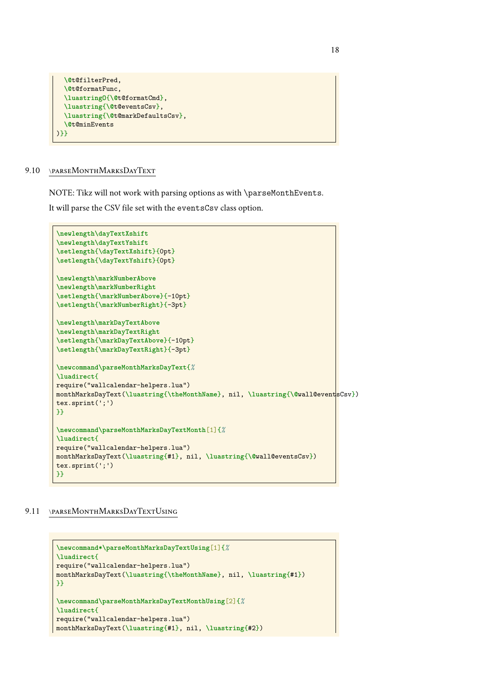```
\@t@filterPred,
  \@t@formatFunc,
  \luastringO{\@t@formatCmd},
  \luastring{\@t@eventsCsv},
 \luastring{\@t@markDefaultsCsv},
 \@t@minEvents
)}}
```
### <span id="page-17-0"></span>9.10 \PARSEMONTHMARKSDAYTEXT

NOTE: Tikz will not work with parsing options as with \parseMonthEvents.

It will parse the CSV file set with the eventsCsv class option.

```
\newlength\dayTextXshift
\newlength\dayTextYshift
\setlength{\dayTextXshift}{0pt}
\setlength{\dayTextYshift}{0pt}
\newlength\markNumberAbove
\newlength\markNumberRight
\setlength{\markNumberAbove}{-10pt}
\setlength{\markNumberRight}{-3pt}
\newlength\markDayTextAbove
\newlength\markDayTextRight
\setlength{\markDayTextAbove}{-10pt}
\setlength{\markDayTextRight}{-3pt}
\newcommand\parseMonthMarksDayText{%
\luadirect{
require("wallcalendar-helpers.lua")
monthMarksDayText(\luastring{\theMonthName}, nil, \luastring{\@wall@eventsCsv})
tex.sprint(';')
}}
\newcommand\parseMonthMarksDayTextMonth[1]{%
\luadirect{
require("wallcalendar-helpers.lua")
monthMarksDayText(\luastring{#1}, nil, \luastring{\@wall@eventsCsv})
tex.sprint(';')
}}
```
### <span id="page-17-1"></span>9.11 \PARSEMONTHMARKSDAYTEXTUSING

```
\newcommand*\parseMonthMarksDayTextUsing[1]{%
\luadirect{
require("wallcalendar-helpers.lua")
monthMarksDayText(\luastring{\theMonthName}, nil, \luastring{#1})
}}
\newcommand\parseMonthMarksDayTextMonthUsing[2]{%
\luadirect{
require("wallcalendar-helpers.lua")
monthMarksDayText(\luastring{#1}, nil, \luastring{#2})
```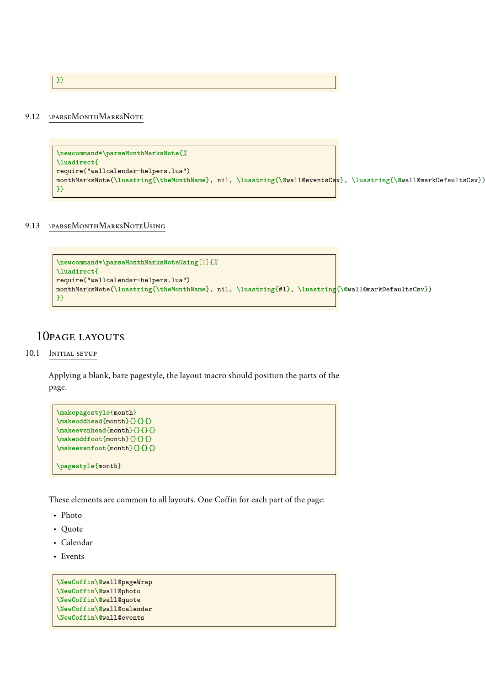}}

### <span id="page-18-0"></span>9.12 \PARSEMONTHMARKSNOTE

```
\newcommand*\parseMonthMarksNote{%
\luadirect{
require("wallcalendar-helpers.lua")
monthMarksNote(\luastring{\theMonthName}, nil, \luastring{\@wall@eventsCsv}, \luastring{\@wall@markDefaultsCsv})
}}
```
### <span id="page-18-1"></span>9.13 \PARSEMONTHMARKSNOTEUSING

```
\newcommand*\parseMonthMarksNoteUsing[1]{%
\luadirect{
require("wallcalendar-helpers.lua")
monthMarksNote(\luastring{\theMonthName}, nil, \luastring{#1}, \luastring{\@wall@markDefaultsCsv})
}}
```
# <span id="page-18-3"></span><span id="page-18-2"></span>10PAGE LAYOUTS

#### 10.1 INITIAL SETUP

Applying a blank, bare pagestyle, the layout macro should position the parts of the page.

```
\makepagestyle{month}
\makeoddhead{month}{}{}{}
\makeevenhead{month}{}{}{}
\makeoddfoot{month}{}{}{}
\makeevenfoot{month}{}{}{}
\pagestyle{month}
```
These elements are common to all layouts. One Coffin for each part of the page:

- Photo
- Quote
- Calendar
- Events

```
\NewCoffin\@wall@pageWrap
\NewCoffin\@wall@photo
\NewCoffin\@wall@quote
\NewCoffin\@wall@calendar
\NewCoffin\@wall@events
```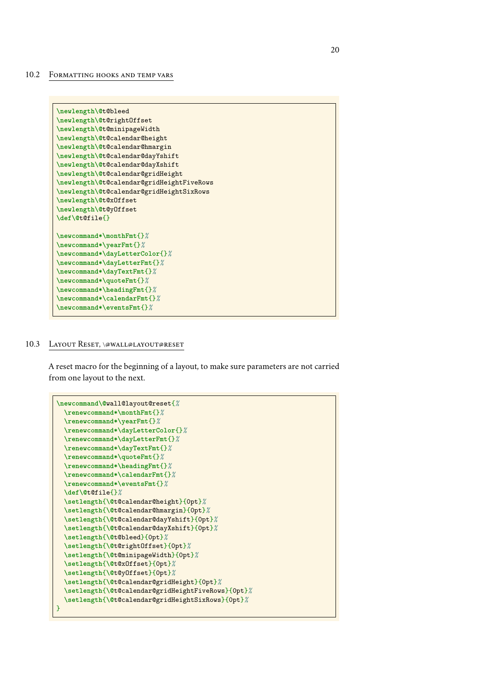#### <span id="page-19-0"></span>10.2 FORMATTING HOOKS AND TEMP VARS

```
\newlength\@t@bleed
\newlength\@t@rightOffset
\newlength\@t@minipageWidth
\newlength\@t@calendar@height
\newlength\@t@calendar@hmargin
\newlength\@t@calendar@dayYshift
\newlength\@t@calendar@dayXshift
\newlength\@t@calendar@gridHeight
\newlength\@t@calendar@gridHeightFiveRows
\newlength\@t@calendar@gridHeightSixRows
\newlength\@t@xOffset
\newlength\@t@yOffset
\def\@t@file{}
\newcommand*\monthFmt{}%
\newcommand*\yearFmt{}%
\newcommand*\dayLetterColor{}%
\newcommand*\dayLetterFmt{}%
\newcommand*\dayTextFmt{}%
\newcommand*\quoteFmt{}%
\newcommand*\headingFmt{}%
\newcommand*\calendarFmt{}%
\newcommand*\eventsFmt{}%
```
#### <span id="page-19-1"></span>10.3 LAYOUT RESET, \@WALL@LAYOUT@RESET

A reset macro for the beginning of a layout, to make sure parameters are not carried from one layout to the next.

```
\newcommand\@wall@layout@reset{%
  \renewcommand*\monthFmt{}%
  \renewcommand*\yearFmt{}%
 \renewcommand*\dayLetterColor{}%
  \renewcommand*\dayLetterFmt{}%
  \renewcommand*\dayTextFmt{}%
 \renewcommand*\quoteFmt{}%
  \renewcommand*\headingFmt{}%
  \renewcommand*\calendarFmt{}%
  \renewcommand*\eventsFmt{}%
  \def\@t@file{}%
  \setlength{\@t@calendar@height}{0pt}%
  \setlength{\@t@calendar@hmargin}{0pt}%
  \setlength{\@t@calendar@dayYshift}{0pt}%
  \setlength{\@t@calendar@dayXshift}{0pt}%
  \setlength{\@t@bleed}{0pt}%
  \setlength{\@t@rightOffset}{0pt}%
  \setlength{\@t@minipageWidth}{0pt}%
  \setlength{\@t@xOffset}{0pt}%
  \setlength{\@t@yOffset}{0pt}%
  \setlength{\@t@calendar@gridHeight}{0pt}%
  \setlength{\@t@calendar@gridHeightFiveRows}{0pt}%
  \setlength{\@t@calendar@gridHeightSixRows}{0pt}%
}
```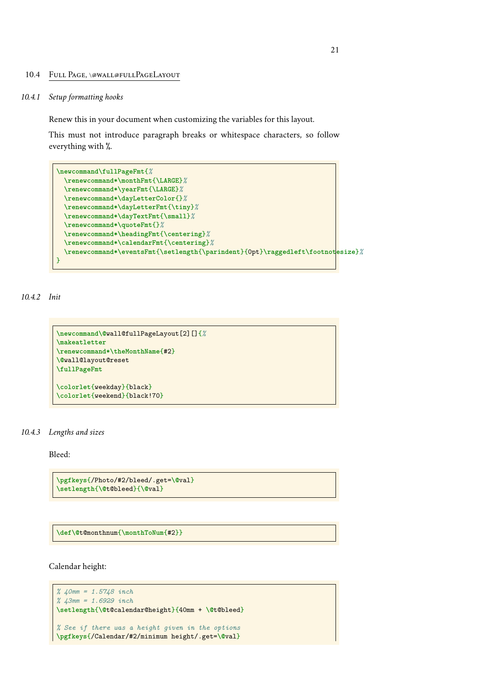#### <span id="page-20-0"></span>10.4 FULL PAGE, \@WALL@FULLPAGELAYOUT

#### *10.4.1 Setup formatting hooks*

Renew this in your document when customizing the variables for this layout.

This must not introduce paragraph breaks or whitespace characters, so follow everything with %.

```
\newcommand\fullPageFmt{%
 \renewcommand*\monthFmt{\LARGE}%
 \renewcommand*\yearFmt{\LARGE}%
 \renewcommand*\dayLetterColor{}%
 \renewcommand*\dayLetterFmt{\tiny}%
 \renewcommand*\dayTextFmt{\small}%
 \renewcommand*\quoteFmt{}%
 \renewcommand*\headingFmt{\centering}%
 \renewcommand*\calendarFmt{\centering}%
 \renewcommand*\eventsFmt{\setlength{\parindent}{0pt}\raggedleft\footnotesize}%
}
```
#### *10.4.2 Init*

```
\newcommand\@wall@fullPageLayout[2][]{%
\makeatletter
\renewcommand*\theMonthName{#2}
\@wall@layout@reset
\fullPageFmt
\colorlet{weekday}{black}
\colorlet{weekend}{black!70}
```
### *10.4.3 Lengths and sizes*

Bleed:

```
\pgfkeys{/Photo/#2/bleed/.get=\@val}
\setlength{\@t@bleed}{\@val}
```
**\def\@**t@monthnum{**\monthToNum**{#2}}

Calendar height:

```
% 40mm = 1.5748 inch
% 43mm = 1.6929 inch
\setlength{\@t@calendar@height}{40mm + \@t@bleed}
% See if there was a height given in the options
\pgfkeys{/Calendar/#2/minimum height/.get=\@val}
```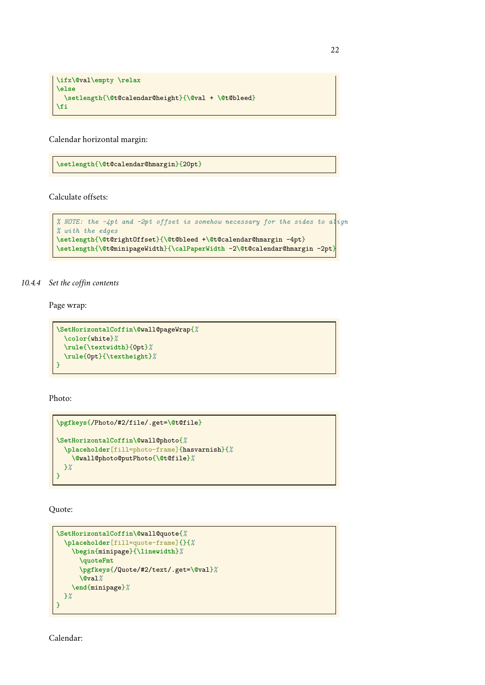```
\ifx\@val\empty \relax
\else
 \setlength{\@t@calendar@height}{\@val + \@t@bleed}
\fi
```
Calendar horizontal margin:

**\setlength**{**\@**t@calendar@hmargin}{20pt}

Calculate offsets:

```
% NOTE: the -4pt and -2pt offset is somehow necessary for the sides to align
% with the edges
\setlength{\@t@rightOffset}{\@t@bleed +\@t@calendar@hmargin -4pt}
\setlength{\@t@minipageWidth}{\calPaperWidth -2\@t@calendar@hmargin -2pt}
```
### *10.4.4 Set the coffin contents*

Page wrap:

```
\SetHorizontalCoffin\@wall@pageWrap{%
 \color{white}%
 \rule{\textwidth}{0pt}%
 \rule{0pt}{\textheight}%
}
```
Photo:

```
\pgfkeys{/Photo/#2/file/.get=\@t@file}
\SetHorizontalCoffin\@wall@photo{%
  \placeholder[fill=photo-frame]{hasvarnish}{%
    \@wall@photo@putPhoto{\@t@file}%
 }%
}
```
Quote:

```
\SetHorizontalCoffin\@wall@quote{%
  \placeholder[fill=quote-frame]{}{%
    \begin{minipage}{\linewidth}%
      \quoteFmt
      \pgfkeys{/Quote/#2/text/.get=\@val}%
      \@val%
    \end{minipage}%
 }%
}
```
Calendar: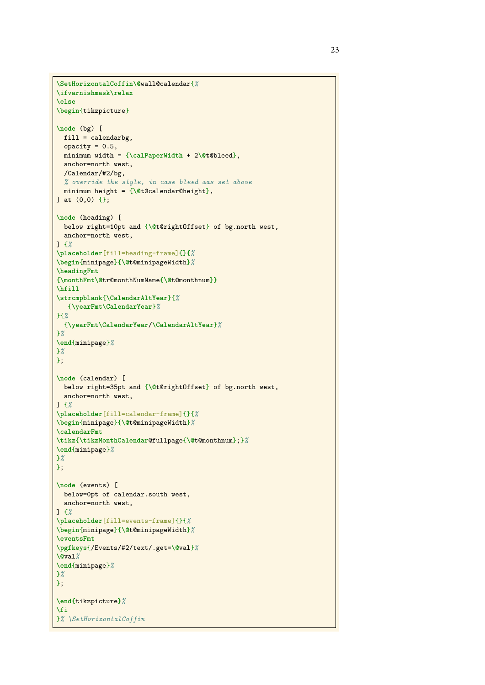```
\SetHorizontalCoffin\@wall@calendar{%
\ifvarnishmask\relax
\else
\begin{tikzpicture}
\node (bg) [
 fill = calendarbg,
  opacity = 0.5,minimum width = {\calPaperWidth + 2\@t@bleed},
  anchor=north west,
  /Calendar/#2/bg,
  % override the style, in case bleed was set above
  minimum height = {\@t@calendar@height},
] at (0,0) {};
\node (heading) [
 below right=10pt and {\@t@rightOffset} of bg.north west,
  anchor=north west,
] {%
\placeholder[fill=heading-frame]{}{%
\begin{minipage}{\@t@minipageWidth}%
\headingFmt
{\monthFmt\@tr@monthNumName{\@t@monthnum}}
\hfill
\strcmpblank{\CalendarAltYear}{%
   {\yearFmt\CalendarYear}%
}{%
  {\yearFmt\CalendarYear/\CalendarAltYear}%
}%
\end{minipage}%
}%
};
\node (calendar) [
 below right=35pt and {\@t@rightOffset} of bg.north west,
  anchor=north west,
] {%
\placeholder[fill=calendar-frame]{}{%
\begin{minipage}{\@t@minipageWidth}%
\calendarFmt
\tikz{\tikzMonthCalendar@fullpage{\@t@monthnum};}%
\end{minipage}%
}%
};
\node (events) [
 below=0pt of calendar.south west,
 anchor=north west,
] {%
\placeholder[fill=events-frame]{}{%
\begin{minipage}{\@t@minipageWidth}%
\eventsFmt
\pgfkeys{/Events/#2/text/.get=\@val}%
\@val%
\end{minipage}%
}%
};
\end{tikzpicture}%
\fi
}% \SetHorizontalCoffin
```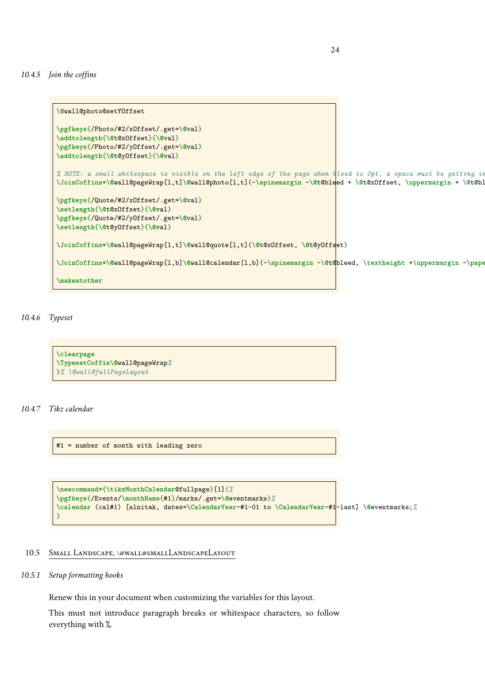*10.4.5 Join the coffins*

```
\@wall@photo@setYOffset
\pgfkeys{/Photo/#2/xOffset/.get=\@val}
\addtolength{\@t@xOffset}{\@val}
\pgfkeys{/Photo/#2/yOffset/.get=\@val}
\addtolength{\@t@yOffset}{\@val}
% NOTE: a small whitespace is visible on the left edge of the page when bleed is 0pt, a space must be getting in somewhere.
\JoinCoffins*\@wall@pageWrap[l,t]\@wall@photo[l,t](-\spinemargin -\@t@bleed + \@t@xOffset, \uppermargin + \@t@bleed + \@t@yOffset)
\pgfkeys{/Quote/#2/xOffset/.get=\@val}
\setlength{\@t@xOffset}{\@val}
\pgfkeys{/Quote/#2/yOffset/.get=\@val}
\setlength{\@t@yOffset}{\@val}
\JoinCoffins*\@wall@pageWrap[l,t]\@wall@quote[l,t](\@t@xOffset, \@t@yOffset)
\JoinCoffins*\@wall@pageWrap[l,b]\@wall@calendar[l,b](-\spinemargin -\@t@bleed, \textheight +\uppermargin -\paperheight -\@t@bleed)
\makeatother
```
*10.4.6 Typeset*

```
\clearpage
\TypesetCoffin\@wall@pageWrap%
}% \@wall@fullPageLayout
```
### *10.4.7 Tikz calendar*

#1 = number of month with leading zero

```
\newcommand*{\tikzMonthCalendar@fullpage}[1]{%
\pgfkeys{/Events/\monthName{#1}/marks/.get=\@eventmarks}%
\calendar (cal#1) [alnitak, dates=\CalendarYear-#1-01 to \CalendarYear-#1-last] \@eventmarks;%
}
```
### <span id="page-23-0"></span>10.5 SMALL LANDSCAPE, \@WALL@SMALLLANDSCAPELAYOUT

### *10.5.1 Setup formatting hooks*

Renew this in your document when customizing the variables for this layout.

This must not introduce paragraph breaks or whitespace characters, so follow everything with %.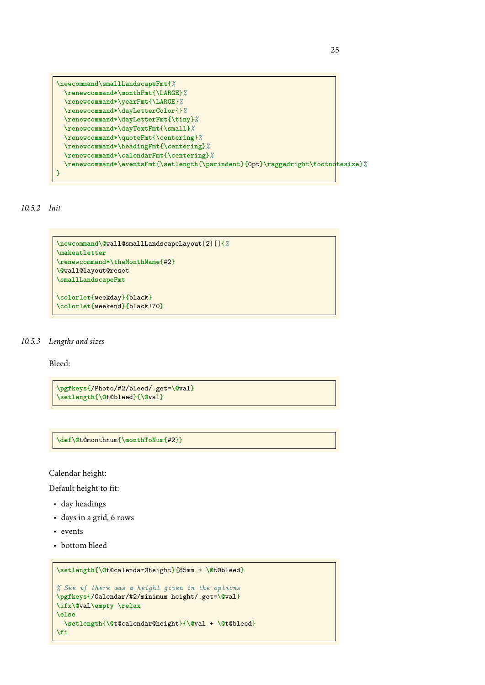```
\newcommand\smallLandscapeFmt{%
 \renewcommand*\monthFmt{\LARGE}%
 \renewcommand*\yearFmt{\LARGE}%
 \renewcommand*\dayLetterColor{}%
 \renewcommand*\dayLetterFmt{\tiny}%
 \renewcommand*\dayTextFmt{\small}%
 \renewcommand*\quoteFmt{\centering}%
 \renewcommand*\headingFmt{\centering}%
 \renewcommand*\calendarFmt{\centering}%
 \renewcommand*\eventsFmt{\setlength{\parindent}{0pt}\raggedright\footnotesize}%
}
```
*10.5.2 Init*

```
\newcommand\@wall@smallLandscapeLayout[2][]{%
\makeatletter
\renewcommand*\theMonthName{#2}
\@wall@layout@reset
\smallLandscapeFmt
\colorlet{weekday}{black}
```
*10.5.3 Lengths and sizes*

Bleed:

```
\pgfkeys{/Photo/#2/bleed/.get=\@val}
\setlength{\@t@bleed}{\@val}
```
**\colorlet**{weekend}{black!70}

**\def\@**t@monthnum{**\monthToNum**{#2}}

Calendar height:

Default height to fit:

- day headings
- days in a grid, 6 rows
- events
- bottom bleed

```
\setlength{\@t@calendar@height}{85mm + \@t@bleed}
% See if there was a height given in the options
\pgfkeys{/Calendar/#2/minimum height/.get=\@val}
\ifx\@val\empty \relax
\else
  \setlength{\@t@calendar@height}{\@val + \@t@bleed}
\fi
```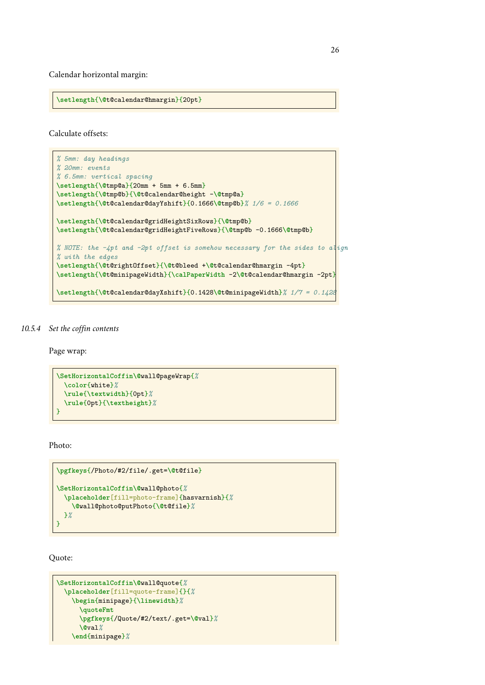Calendar horizontal margin:

**\setlength**{**\@**t@calendar@hmargin}{20pt}

Calculate offsets:

```
% 5mm: day headings
% 20mm: events
% 6.5mm: vertical spacing
\setlength{\@tmp@a}{20mm + 5mm + 6.5mm}
\setlength{\@tmp@b}{\@t@calendar@height -\@tmp@a}
\setlength{\@t@calendar@dayYshift}{0.1666\@tmp@b}% 1/6 = 0.1666
\setlength{\@t@calendar@gridHeightSixRows}{\@tmp@b}
\setlength{\@t@calendar@gridHeightFiveRows}{\@tmp@b -0.1666\@tmp@b}
% NOTE: the -4pt and -2pt offset is somehow necessary for the sides to align
% with the edges
\setlength{\@t@rightOffset}{\@t@bleed +\@t@calendar@hmargin -4pt}
\setlength{\@t@minipageWidth}{\calPaperWidth -2\@t@calendar@hmargin -2pt}
\setlength{\@t@calendar@dayXshift}{0.1428\@t@minipageWidth}% 1/7 = 0.1428
```
#### *10.5.4 Set the coffin contents*

Page wrap:

```
\SetHorizontalCoffin\@wall@pageWrap{%
  \color{white}%
  \rule{\textwidth}{0pt}%
  \rule{0pt}{\textheight}%
}
```
Photo:

```
\pgfkeys{/Photo/#2/file/.get=\@t@file}
\SetHorizontalCoffin\@wall@photo{%
  \placeholder[fill=photo-frame]{hasvarnish}{%
    \@wall@photo@putPhoto{\@t@file}%
 }%
\overline{ }
```
Quote:

```
\SetHorizontalCoffin\@wall@quote{%
 \placeholder[fill=quote-frame]{}{%
   \begin{minipage}{\linewidth}%
     \quoteFmt
     \pgfkeys{/Quote/#2/text/.get=\@val}%
     \@val%
    \end{minipage}%
```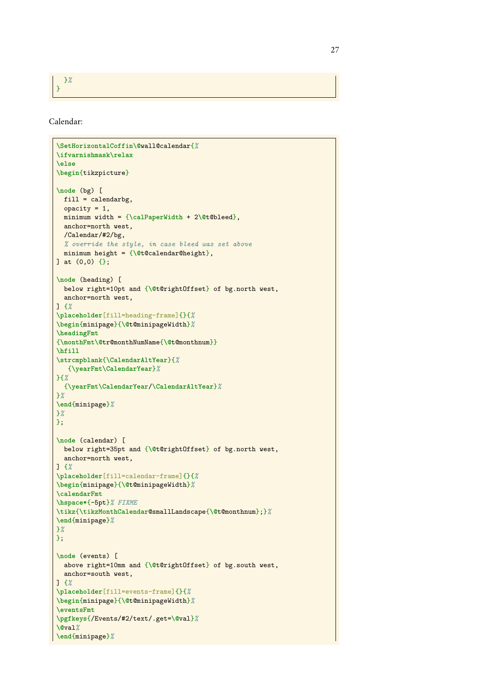}*%*

}

Calendar:

```
\SetHorizontalCoffin\@wall@calendar{%
\ifvarnishmask\relax
\else
\begin{tikzpicture}
\node (bg) [
 fill = calendarbg,
  opacity = 1,
  minimum width = {\calPaperWidth + 2\@t@bleed},
  anchor=north west,
  /Calendar/#2/bg,
 % override the style, in case bleed was set above
 minimum height = {\@t@calendar@height},
] at (0,0) {};
\node (heading) [
 below right=10pt and {\@t@rightOffset} of bg.north west,
  anchor=north west,
] {%
\placeholder[fill=heading-frame]{}{%
\begin{minipage}{\@t@minipageWidth}%
\headingFmt
{\monthFmt\@tr@monthNumName{\@t@monthnum}}
\hfill
\strcmpblank{\CalendarAltYear}{%
   {\yearFmt\CalendarYear}%
}{%
 {\yearFmt\CalendarYear/\CalendarAltYear}%
}%
\end{minipage}%
}%
};
\node (calendar) [
 below right=35pt and {\@t@rightOffset} of bg.north west,
 anchor=north west,
] {%
\placeholder[fill=calendar-frame]{}{%
\begin{minipage}{\@t@minipageWidth}%
\calendarFmt
\hspace*{-5pt}% FIXME
\tikz{\tikzMonthCalendar@smallLandscape{\@t@monthnum};}%
\end{minipage}%
}%
};
\node (events) [
 above right=10mm and {\@t@rightOffset} of bg.south west,
  anchor=south west,
] {%
\placeholder[fill=events-frame]{}{%
\begin{minipage}{\@t@minipageWidth}%
\eventsFmt
\pgfkeys{/Events/#2/text/.get=\@val}%
\@val%
\end{minipage}%
```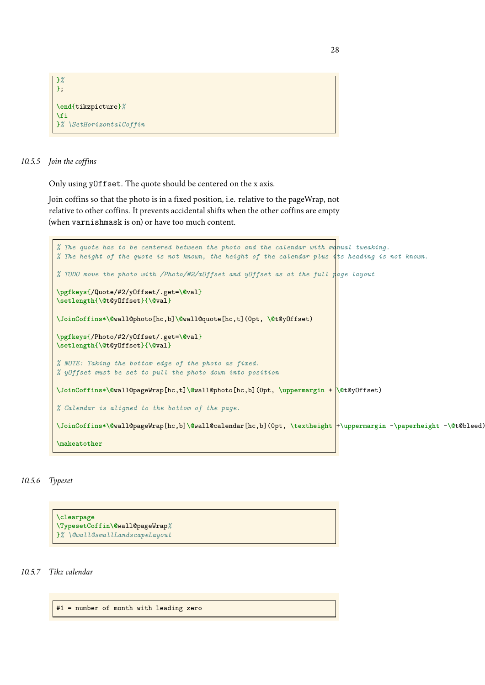```
}%
\lambda:
\end{tikzpicture}%
\fi
}% \SetHorizontalCoffin
```
### *10.5.5 Join the coffins*

Only using yOffset. The quote should be centered on the x axis.

Join coffins so that the photo is in a fixed position, i.e. relative to the pageWrap, not relative to other coffins. It prevents accidental shifts when the other coffins are empty (when varnishmask is on) or have too much content.

```
% The quote has to be centered between the photo and the calendar with manual tweaking.
% The height of the quote is not known, the height of the calendar plus its heading is not known.
% TODO move the photo with /Photo/#2/xOffset and yOffset as at the full page layout
\pgfkeys{/Quote/#2/yOffset/.get=\@val}
\setlength{\@t@yOffset}{\@val}
\JoinCoffins*\@wall@photo[hc,b]\@wall@quote[hc,t](0pt, \@t@yOffset)
\pgfkeys{/Photo/#2/yOffset/.get=\@val}
\setlength{\@t@yOffset}{\@val}
% NOTE: Taking the bottom edge of the photo as fixed.
% yOffset must be set to pull the photo down into position
\JoinCoffins*\@wall@pageWrap[hc,t]\@wall@photo[hc,b](0pt, \uppermargin + \@t@yOffset)
% Calendar is aligned to the bottom of the page.
\JoinCoffins*\@wall@pageWrap[hc,b]\@wall@calendar[hc,b](0pt, \textheight +\uppermargin -\paperheight -\@t@bleed)
\makeatother
```
### *10.5.6 Typeset*

**\clearpage \TypesetCoffin\@**wall@pageWrap*%* }*% \@wall@smallLandscapeLayout*

*10.5.7 Tikz calendar*

#1 = number of month with leading zero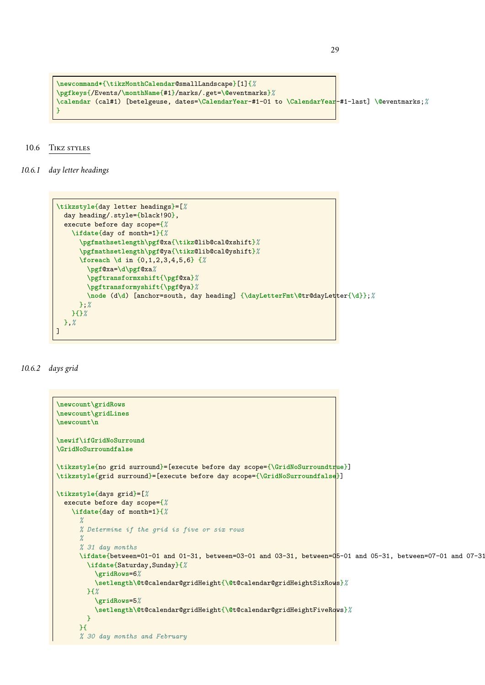```
\newcommand*{\tikzMonthCalendar@smallLandscape}[1]{%
\pgfkeys{/Events/\monthName{#1}/marks/.get=\@eventmarks}%
\calendar (cal#1) [betelgeuse, dates=\CalendarYear-#1-01 to \CalendarYear-#1-last] \@eventmarks;%
}
```
### <span id="page-28-0"></span>10.6 TIKZ STYLES

*10.6.1 day letter headings*

```
\tikzstyle{day letter headings}=[%
  day heading/.style={black!90},
  execute before day scope={%
    \ifdate{day of month=1}{%
      \pgfmathsetlength\pgf@xa{\tikz@lib@cal@xshift}%
      \pgfmathsetlength\pgf@ya{\tikz@lib@cal@yshift}%
      \foreach \d in {0,1,2,3,4,5,6} {%
        \pgf@xa=\d\pgf@xa%
        \pgftransformxshift{\pgf@xa}%
        \pgftransformyshift{\pgf@ya}%
        \node (d\d) [anchor=south, day heading] {\dayLetterFmt\@tr@dayLetter{\d}};%
     };%
    }{}%
 },%
]
```
### *10.6.2 days grid*

```
\newcount\gridRows
\newcount\gridLines
\newcount\n
\newif\ifGridNoSurround
\GridNoSurroundfalse
\tikzstyle{no grid surround}=[execute before day scope={\GridNoSurroundtrue}]
\tikzstyle{grid surround}=[execute before day scope={\GridNoSurroundfalse}]
\tikzstyle{days grid}=[%
  execute before day scope={%
    \ifdate{day of month=1}{%
      %
      % Determine if the grid is five or six rows
      %
      % 31 day months
      \ifdate{between=01-01 and 01-31, between=03-01 and 03-31, between=05-01 and 05-31, between=07-01 and 07-31, between=08-01 and 08-31, between=10-01 and 10-31, between=12-01 and 12-31}{%
        \ifdate{Saturday,Sunday}{%
           \gridRows=6%
           \setlength\@t@calendar@gridHeight{\@t@calendar@gridHeightSixRows}%
        }{%
           \gridRows=5%
           \setlength\@t@calendar@gridHeight{\@t@calendar@gridHeightFiveRows}%
        }
      }{
      % 30 day months and February
```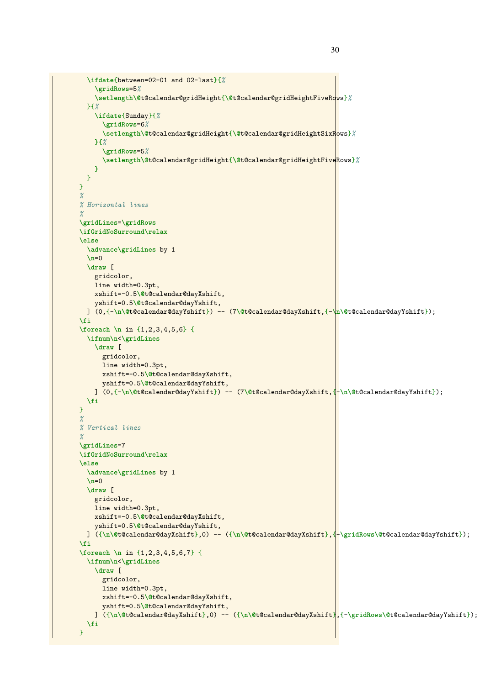```
\ifdate{between=02-01 and 02-last}{%
    \gridRows=5%
    \setlength\@t@calendar@gridHeight{\@t@calendar@gridHeightFiveRows}%
  }{%
    \ifdate{Sunday}{%
      \gridRows=6%
      \setlength\@t@calendar@gridHeight{\@t@calendar@gridHeightSixRows}%
    }{%
      \gridRows=5%
      \setlength\@t@calendar@gridHeight{\@t@calendar@gridHeightFiveRows}%
    }
 }
}
%
% Horizontal lines
%
\gridLines=\gridRows
\ifGridNoSurround\relax
\else
  \advance\gridLines by 1
  \n=0
  \draw [
   gridcolor,
   line width=0.3pt,
   xshift=-0.5\@t@calendar@dayXshift,
    yshift=0.5\@t@calendar@dayYshift,
 ] (0,{-\n\@t@calendar@dayYshift}) -- (7\@t@calendar@dayXshift,{-\n\@t@calendar@dayYshift});
\fi
\foreach \n in {1,2,3,4,5,6} {
 \ifnum\n<\gridLines
   \draw [
      gridcolor,
      line width=0.3pt,
      xshift=-0.5\@t@calendar@dayXshift,
      yshift=0.5\@t@calendar@dayYshift,
    ] (0,{-\n\@t@calendar@dayYshift}) -- (7\@t@calendar@dayXshift,{-\n\@t@calendar@dayYshift});
  \fi
}
%
% Vertical lines
%
\gridLines=7
\ifGridNoSurround\relax
\else
  \advance\gridLines by 1
 \n\lambdan=0
  \draw [
    gridcolor,
    line width=0.3pt,
   xshift=-0.5\@t@calendar@dayXshift,
    yshift=0.5\@t@calendar@dayYshift,
 ] ({\n\@t@calendar@dayXshift},0) -- ({\n\@t@calendar@dayXshift},{-\gridRows\@t@calendar@dayYshift});
\fi
\foreach \n in {1,2,3,4,5,6,7} {
  \ifnum\n<\gridLines
    \draw [
      gridcolor,
      line width=0.3pt,
      xshift=-0.5\@t@calendar@dayXshift,
      yshift=0.5\@t@calendar@dayYshift,
    ] ({\n\@t@calendar@dayXshift},0) -- ({\n\@t@calendar@dayXshift},{-\gridRows\@t@calendar@dayYshift});
  \fi
}
```
30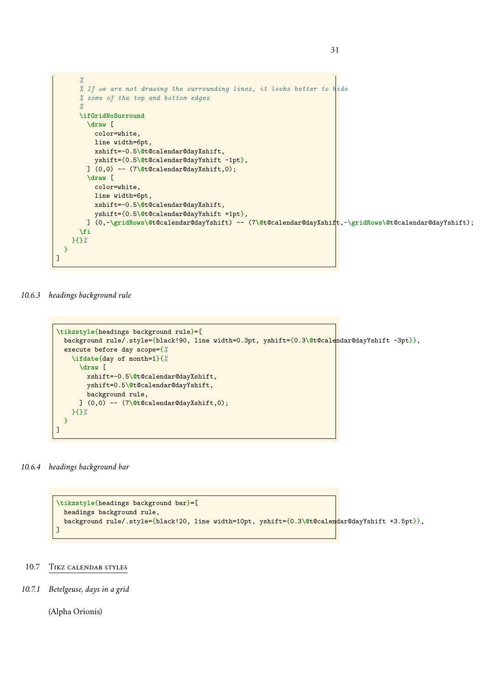

31

#### *10.6.3 headings background rule*

```
\tikzstyle{headings background rule}=[
  background rule/.style={black!90, line width=0.3pt, yshift={0.3\@t@calendar@dayYshift -3pt}},
  execute before day scope={%
    \ifdate{day of month=1}{%
      \draw [
        xshift=-0.5\@t@calendar@dayXshift,
        yshift=0.5\@t@calendar@dayYshift,
        background rule,
      ] (0,0) -- (7\@t@calendar@dayXshift,0);
    }{}%
 }
]
```
### *10.6.4 headings background bar*

```
\tikzstyle{headings background bar}=[
 headings background rule,
  background rule/.style={black!20, line width=10pt, yshift={0.3\@t@calendar@dayYshift +3.5pt}},
]
```
### <span id="page-30-0"></span>10.7 Tikz calendar styles

*10.7.1 Betelgeuse, days in a grid*

(Alpha Orionis)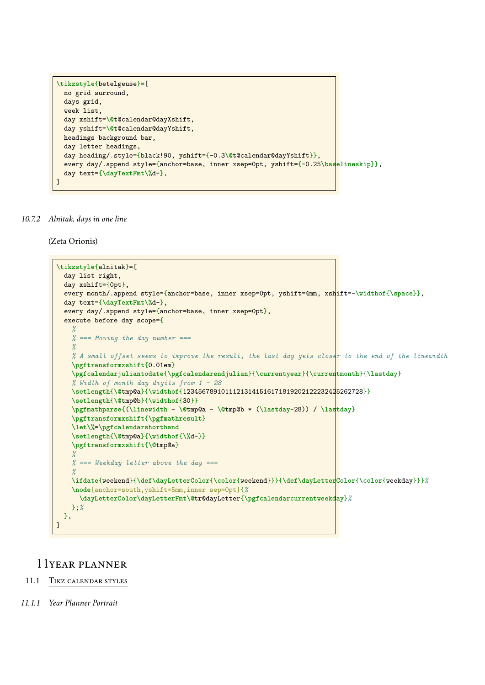```
\tikzstyle{betelgeuse}=[
 no grid surround,
 days grid,
 week list,
 day xshift=\@t@calendar@dayXshift,
 day yshift=\@t@calendar@dayYshift,
 headings background bar,
 day letter headings,
 day heading/.style={black!90, yshift={-0.3\@t@calendar@dayYshift}},
  every day/.append style={anchor=base, inner xsep=0pt, yshift={-0.25\baselineskip}},
  day text={\dayTextFmt\%d-},
]
```
*10.7.2 Alnitak, days in one line*

(Zeta Orionis)

```
\tikzstyle{alnitak}=[
 day list right,
 day xshift={0pt},
 every month/.append style={anchor=base, inner xsep=0pt, yshift=4mm, xshift=-\widthof{\space}},
 day text={\dayTextFmt\%d-},
 every day/.append style={anchor=base, inner xsep=0pt},
 execute before day scope={
    %
   % === Moving the day number ===
    %
   % A small offset seems to improve the result, the last day gets closer to the end of the linewidth
   \pgftransformxshift{0.01em}
   \pgfcalendarjuliantodate{\pgfcalendarendjulian}{\currentyear}{\currentmonth}{\lastday}
    % Width of month day digits from 1 - 28
   \setlength{\@tmp@a}{\widthof{12345678910111213141516171819202122232425262728}}
   \setlength{\@tmp@b}{\widthof{30}}
   \pgfmathparse{(\linewidth - \@tmp@a - \@tmp@b * (\lastday-28)) / \lastday}
   \pgftransformxshift{\pgfmathresult}
   \let\%=\pgfcalendarshorthand
   \setlength{\@tmp@a}{\widthof{\%d-}}
   \pgftransformxshift{\@tmp@a}
   %
   % === Weekday letter above the day ===
   %
   \ifdate{weekend}{\def\dayLetterColor{\color{weekend}}}{\def\dayLetterColor{\color{weekday}}}%
    \node[anchor=south,yshift=5mm,inner sep=0pt]{%
     \dayLetterColor\dayLetterFmt\@tr@dayLetter{\pgfcalendarcurrentweekday}%
   };%
 },
]
```
# <span id="page-31-1"></span><span id="page-31-0"></span>11year planner

### 11.1 Tikz calendar styles

*11.1.1 Year Planner Portrait*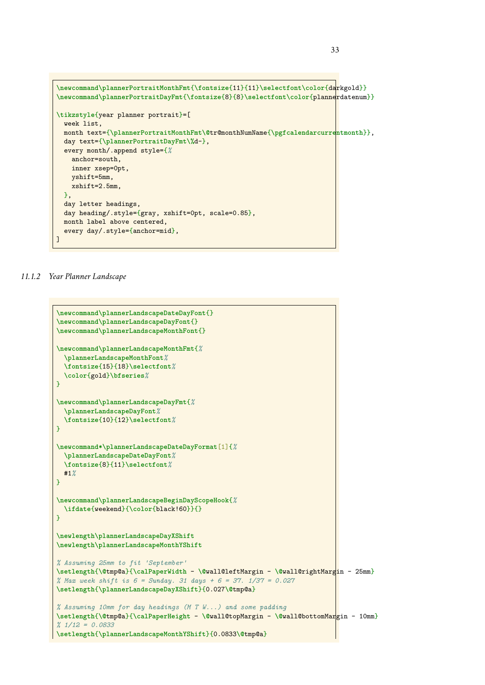

*11.1.2 Year Planner Landscape*

```
\newcommand\plannerLandscapeDateDayFont{}
\newcommand\plannerLandscapeDayFont{}
\newcommand\plannerLandscapeMonthFont{}
\newcommand\plannerLandscapeMonthFmt{%
  \plannerLandscapeMonthFont%
  \fontsize{15}{18}\selectfont%
  \color{gold}\bfseries%
}
\newcommand\plannerLandscapeDayFmt{%
  \plannerLandscapeDayFont%
  \fontsize{10}{12}\selectfont%
}
\newcommand*\plannerLandscapeDateDayFormat[1]{%
  \plannerLandscapeDateDayFont%
  \fontsize{8}{11}\selectfont%
 #1%
}
\newcommand\plannerLandscapeBeginDayScopeHook{%
  \ifdate{weekend}{\color{black!60}}{}
}
\newlength\plannerLandscapeDayXShift
\newlength\plannerLandscapeMonthYShift
% Assuming 25mm to fit 'September'
\setlength{\@tmp@a}{\calPaperWidth - \@wall@leftMargin - \@wall@rightMargin - 25mm}
% Max week shift is 6 = Sunday. 31 days + 6 = 37. 1/37 = 0.027
\setlength{\plannerLandscapeDayXShift}{0.027\@tmp@a}
% Assuming 10mm for day headings (M T W...) and some padding
\setlength{\@tmp@a}{\calPaperHeight - \@wall@topMargin - \@wall@bottomMargin - 10mm}
% 1/12 = 0.0833
\setlength{\plannerLandscapeMonthYShift}{0.0833\@tmp@a}
```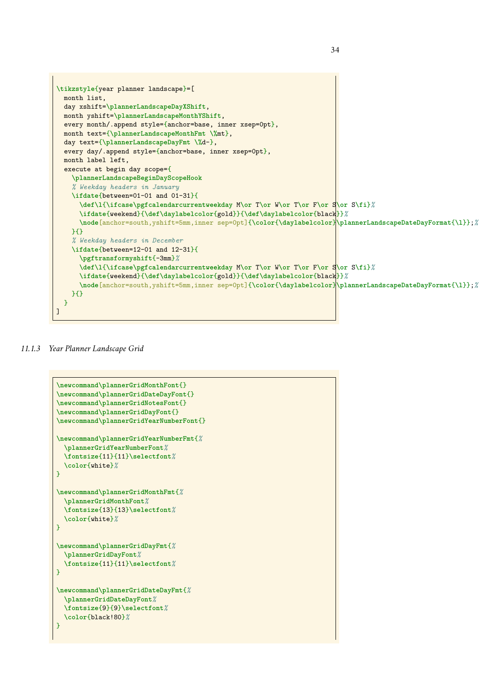```
\tikzstyle{year planner landscape}=[
  month list,
  day xshift=\plannerLandscapeDayXShift,
  month yshift=\plannerLandscapeMonthYShift,
  every month/.append style={anchor=base, inner xsep=0pt},
  month text={\plannerLandscapeMonthFmt \%mt},
  day text={\plannerLandscapeDayFmt \%d-},
  every day/.append style={anchor=base, inner xsep=0pt},
  month label left,
  execute at begin day scope={
    \plannerLandscapeBeginDayScopeHook
    % Weekday headers in January
    \ifdate{between=01-01 and 01-31}{
      \def\l{\ifcase\pgfcalendarcurrentweekday M\or T\or W\or T\or F\or S\or S\fi}%
      \ifdate{weekend}{\def\daylabelcolor{gold}}{\def\daylabelcolor{black}}%
      \node[anchor=south,yshift=5mm,inner sep=0pt]{\color{\daylabelcolor}\plannerLandscapeDateDayFormat{\l}};%
    \mathcal{H}% Weekday headers in December
    \ifdate{between=12-01 and 12-31}{
      \pgftransformyshift{-3mm}%
      \def\l{\ifcase\pgfcalendarcurrentweekday M\or T\or W\or T\or F\or S\or S\fi}%
      \ifdate{weekend}{\def\daylabelcolor{gold}}{\def\daylabelcolor{black}}%
      \node[anchor=south,yshift=5mm,inner sep=0pt]{\color{\daylabelcolor}\plannerLandscapeDateDayFormat{\l}};%
    }{}
 }
]
```
34

*11.1.3 Year Planner Landscape Grid*

```
\newcommand\plannerGridMonthFont{}
\newcommand\plannerGridDateDayFont{}
\newcommand\plannerGridNotesFont{}
\newcommand\plannerGridDayFont{}
\newcommand\plannerGridYearNumberFont{}
\newcommand\plannerGridYearNumberFmt{%
  \plannerGridYearNumberFont%
  \fontsize{11}{11}\selectfont%
  \color{white}%
}
\newcommand\plannerGridMonthFmt{%
  \plannerGridMonthFont%
  \fontsize{13}{13}\selectfont%
  \color{white}%
}
\newcommand\plannerGridDayFmt{%
  \plannerGridDayFont%
  \fontsize{11}{11}\selectfont%
\lambda\newcommand\plannerGridDateDayFmt{%
  \plannerGridDateDayFont%
  \fontsize{9}{9}\selectfont%
  \color{black!80}%
}
```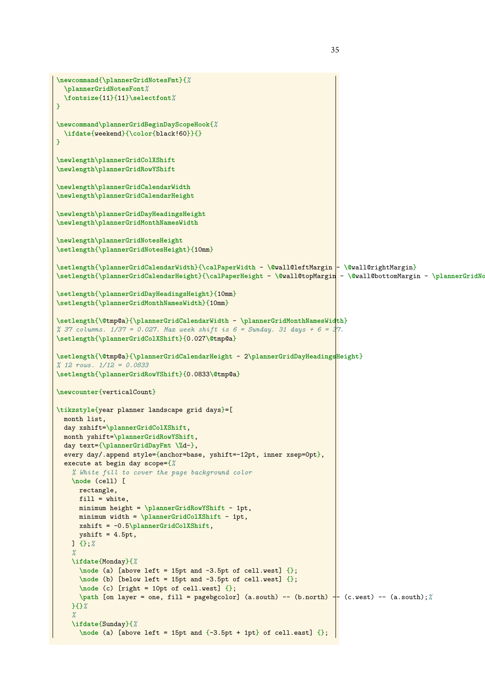```
\newcommand{\plannerGridNotesFmt}{%
  \plannerGridNotesFont%
  \fontsize{11}{11}\selectfont%
}
\newcommand\plannerGridBeginDayScopeHook{%
 \ifdate{weekend}{\color{black!60}}{}
}
\newlength\plannerGridColXShift
\newlength\plannerGridRowYShift
\newlength\plannerGridCalendarWidth
\newlength\plannerGridCalendarHeight
\newlength\plannerGridDayHeadingsHeight
\newlength\plannerGridMonthNamesWidth
\newlength\plannerGridNotesHeight
\setlength{\plannerGridNotesHeight}{10mm}
\setlength{\plannerGridCalendarWidth}{\calPaperWidth - \@wall@leftMargin - \@wall@rightMargin}
\setlength{\plannerGridCalendarHeight}{\calPaperHeight - \@wall@topMargin - \@wall@bottomMargin - \plannerGridNotesHeight}
\setlength{\plannerGridDayHeadingsHeight}{10mm}
\setlength{\plannerGridMonthNamesWidth}{10mm}
\setlength{\@tmp@a}{\plannerGridCalendarWidth - \plannerGridMonthNamesWidth}
% 37 columns. 1/37 = 0.027. Max week shift is 6 = Sunday. 31 days + 6 = 37.
\setlength{\plannerGridColXShift}{0.027\@tmp@a}
\setlength{\@tmp@a}{\plannerGridCalendarHeight - 2\plannerGridDayHeadingsHeight}
% 12 rows. 1/12 = 0.0833
\setlength{\plannerGridRowYShift}{0.0833\@tmp@a}
\newcounter{verticalCount}
\tikzstyle{year planner landscape grid days}=[
 month list,
  day xshift=\plannerGridColXShift,
  month yshift=\plannerGridRowYShift,
  day text={\plannerGridDayFmt \%d-},
  every day/.append style={anchor=base, yshift=-12pt, inner xsep=0pt},
  execute at begin day scope={%
    % White fill to cover the page background color
    \node (cell) [
      rectangle,
     fill = white,minimum height = \plannerGridRowYShift - 1pt,
     minimum width = \plannerGridColXShift - 1pt,
     xshift = -0.5\plannerGridColXShift,
     yshift = 4.5pt,] {};%
    %
    \ifdate{Monday}{%
      \node (a) [above left = 15pt and -3.5pt of cell.west] {};
      \node (b) [below left = 15pt and -3.5pt of cell.west] {};
      \node (c) [right = 10pt of cell.west] {};
      \path [on layer = one, fill = pagebgcolor] (a.south) -- (b.north) -- (c.west) -- (a.south);%
    }{}%
    %
    \ifdate{Sunday}{%
      \node (a) [above left = 15pt and {-3.5pt + 1pt} of cell.east] {};
```
35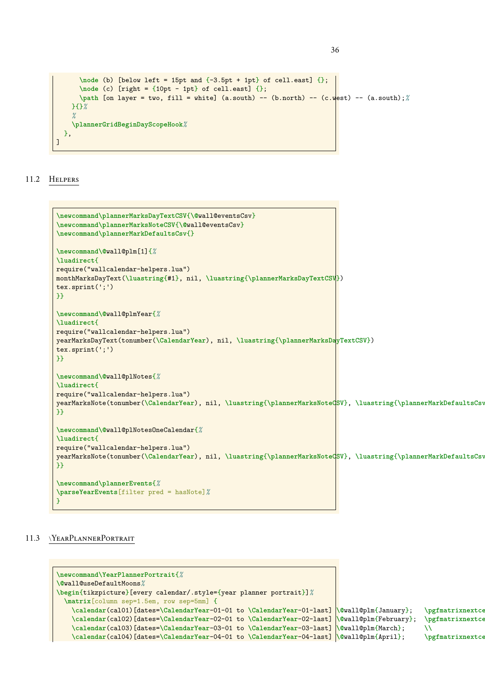```
\node (b) [below left = 15pt and {-3.5pt + 1pt} of cell.east] {\};\node (c) [right = {10pt - 1pt} of cell.east] {};
      \path [on layer = two, fill = white] (a.south) -- (b.north) -- (c.west) -- (a.south);%
    }{}%
    %
    \plannerGridBeginDayScopeHook%
  },
\overline{1}
```
<span id="page-35-0"></span>11.2 Helpers

```
\newcommand\plannerMarksDayTextCSV{\@wall@eventsCsv}
\newcommand\plannerMarksNoteCSV{\@wall@eventsCsv}
\newcommand\plannerMarkDefaultsCsv{}
\newcommand\@wall@plm[1]{%
\luadirect{
require("wallcalendar-helpers.lua")
monthMarksDayText(\luastring{#1}, nil, \luastring{\plannerMarksDayTextCSV})
tex.sprint(';')
}}
\newcommand\@wall@plmYear{%
\luadirect{
require("wallcalendar-helpers.lua")
yearMarksDayText(tonumber(\CalendarYear), nil, \luastring{\plannerMarksDayTextCSV})
tex.sprint(';')
}}
\newcommand\@wall@plNotes{%
\luadirect{
require("wallcalendar-helpers.lua")
yearMarksNote(tonumber(\CalendarYear), nil, \luastring{\plannerMarksNoteCSV}, \luastring{\plannerMarkDefaultsCsv}, false)
}}
\newcommand\@wall@plNotesOneCalendar{%
\luadirect{
require("wallcalendar-helpers.lua")
yearMarksNote(tonumber(\CalendarYear), nil, \luastring{\plannerMarksNoteCSV}, \luastring{\plannerMarkDefaultsCsv}, true)
}}
\newcommand\plannerEvents{%
\parseYearEvents[filter pred = hasNote]%
}
```
## <span id="page-35-1"></span>11.3 \YEARPLANNERPORTRAIT

```
\newcommand\YearPlannerPortrait{%
\@wall@useDefaultMoons%
\begin{tikzpicture}[every calendar/.style={year planner portrait}]%
 \matrix[column sep=1.5em, row sep=5mm] {
   \calendar(cal01)[dates=\CalendarYear-01-01 to \CalendarYear-01-last] <b>\@wall@plm{January}; \pgfmatrixnextce
   \calendar(cal02)[dates=\CalendarYear-02-01 to \CalendarYear-02-last] \@wall@plm{February}; \pgfmatrixnextcell
   \calendar(cal03)[dates=\CalendarYear-03-01 to \CalendarYear-03-last] \@wall@plm{March}; \\
   \calendar(cal04)[dates=\CalendarYear-04-01 to \CalendarYear-04-last] \@wall@plm{April}; \pgfmatrixnextcell
```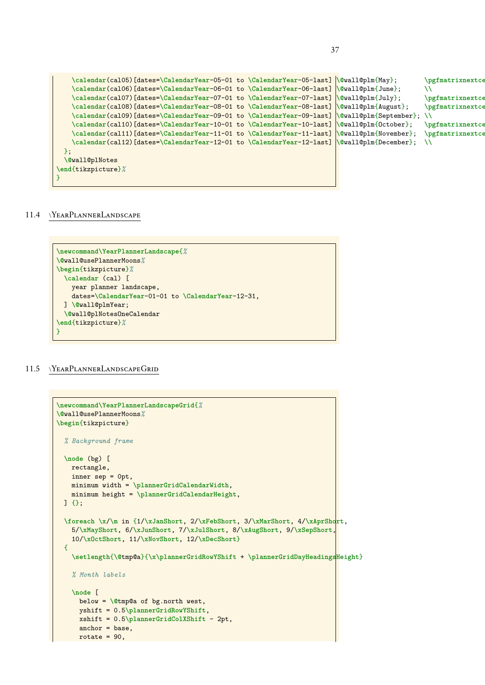```
\calendar(cal05)[dates=\CalendarYear-05-01 to \CalendarYear-05-last] \&nall@plm{May}; \pgfmatrixnextcell
   \calendar(cal06)[dates=\CalendarYear-06-01 to \CalendarYear-06-last] \@wall@plm{June}; \\
   \calendar(cal07)[dates=\CalendarYear-07-01 to \CalendarYear-07-last] <b>\@wall@plm{July}; \pgfmatrixnextce
   \calendar(cal08)[dates=\CalendarYear-08-01 to \CalendarYear-08-last] \@wall@plm{August}; \pgfmatrixnextcell
   \calendar(cal09)[dates=\CalendarYear-09-01 to \CalendarYear-09-last] \@wall@plm{September}; \\
   \calendar(cal10)[dates=\CalendarYear-10-01 to \CalendarYear-10-last] \@wall@plm{October}; \pgfmatrixnextcell
   \calendar(cal11)[dates=\CalendarYear-11-01 to \CalendarYear-11-last] \@wall@plm{November}; \pgfmatrixnextcell
   \calendar(cal12)[dates=\CalendarYear-12-01 to \CalendarYear-12-last] \@wall@plm{December}; \\
 };
 \@wall@plNotes
\end{tikzpicture}%
```
#### <span id="page-36-0"></span>11.4 \YearPlannerLandscape

}

```
\newcommand\YearPlannerLandscape{%
\@wall@usePlannerMoons%
\begin{tikzpicture}%
 \calendar (cal) [
    year planner landscape,
    dates=\CalendarYear-01-01 to \CalendarYear-12-31,
  ] \@wall@plmYear;
 \@wall@plNotesOneCalendar
\end{tikzpicture}%
}
```
### <span id="page-36-1"></span>11.5 \YearPlannerLandscapeGrid

```
\newcommand\YearPlannerLandscapeGrid{%
\@wall@usePlannerMoons%
\begin{tikzpicture}
 % Background frame
 \node (bg) [
   rectangle,
   inner sep = 0pt,
   minimum width = \plannerGridCalendarWidth,
   minimum height = \plannerGridCalendarHeight,
 ] {};
 \foreach \x/\m in {1/\xJanShort, 2/\xFebShort, 3/\xMarShort, 4/\xAprShort,
   5/\xMayShort, 6/\xJunShort, 7/\xJulShort, 8/\xAugShort, 9/\xSepShort,
   10/\xOctShort, 11/\xNovShort, 12/\xDecShort}
 {
    \setlength{\@tmp@a}{\x\plannerGridRowYShift + \plannerGridDayHeadingsHeight}
   % Month labels
   \node [
     below = \@tmp@a of bg.north west,
     yshift = 0.5\plannerGridRowYShift,
     xshift = 0.5\plannerGridColXShift - 2pt,
     anchor = base,
     rotate = 90,
```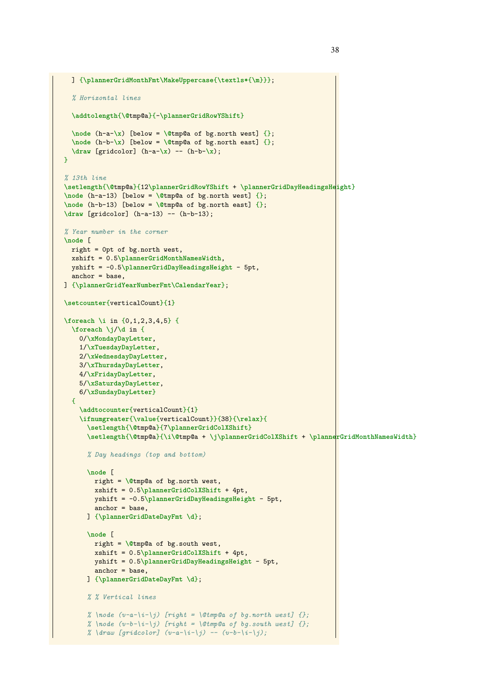```
] {\plannerGridMonthFmt\MakeUppercase{\textls*{\m}}};
  % Horizontal lines
  \addtolength{\@tmp@a}{-\plannerGridRowYShift}
  \node (h-a-\x) [below = \@tmp@a of bg.north west] {};
  \node (h-b-\x) [below = \@tmp@a of bg.north east] {};
  \draw [gridcolor] (h-a-\x) -- (h-b-\x);
\mathbf{r}% 13th line
\setlength{\@tmp@a}{12\plannerGridRowYShift + \plannerGridDayHeadingsHeight}
\node (h-a-13) [below = \@tmp@a of bg.north west] {};
\node (h-b-13) [below = \@tmp@a of bg.north east] {};
\draw [gridcolor] (h-a-13) -- (h-b-13);
% Year number in the corner
\node [
  right = 0pt of bg.north west,
 xshift = 0.5\plannerGridMonthNamesWidth,
 yshift = -0.5\plannerGridDayHeadingsHeight - 5pt,
 anchor = base,
] {\plannerGridYearNumberFmt\CalendarYear};
\setcounter{verticalCount}{1}
\foreach \i in {0,1,2,3,4,5} {
 \foreach \j/\d in {
   0/\xMondayDayLetter,
    1/\xTuesdayDayLetter,
    2/\xWednesdayDayLetter,
    3/\xThursdayDayLetter,
    4/\xFridayDayLetter,
    5/\xSaturdayDayLetter,
    6/\xSundayDayLetter}
  {
    \addtocounter{verticalCount}{1}
    \ifnumgreater{\value{verticalCount}}{38}{\relax}{
      \setlength{\@tmp@a}{7\plannerGridColXShift}
      \setlength{\@tmp@a}{\i\@tmp@a + \j\plannerGridColXShift + \plannerGridMonthNamesWidth}
      % Day headings (top and bottom)
      \node [
        right = \@tmp@a of bg.north west,
        xshift = 0.5\plannerGridColXShift + 4pt,
        yshift = -0.5\plannerGridDayHeadingsHeight - 5pt,
        anchor = base,
      ] {\plannerGridDateDayFmt \d};
      \node [
        right = \@tmp@a of bg.south west,
        xshift = 0.5\plannerGridColXShift + 4pt,
        yshift = 0.5\plannerGridDayHeadingsHeight - 5pt,
        anchor = base,
      ] {\plannerGridDateDayFmt \d};
      % % Vertical lines
      % \node (v-a-\i-\j) [right = \@tmp@a of bg.north west] {};
      % \node (v-b-\i-\j) [right = \@tmp@a of bg.south west] {};
      % \draw [gridcolor] (v-a-\i-\j) -- (v-b-\i-\j);
```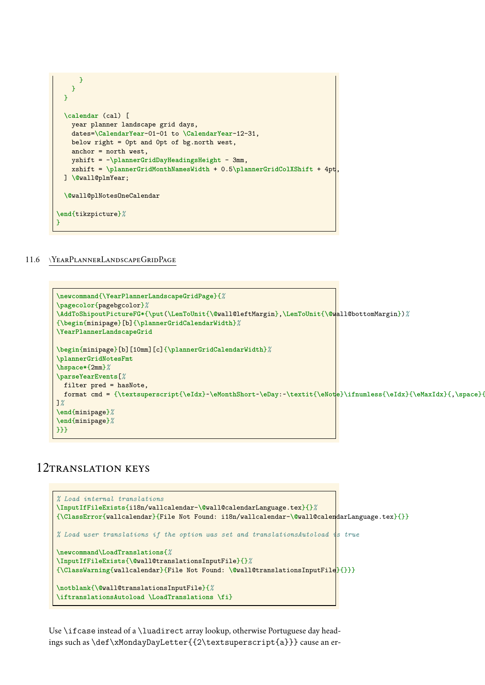

<span id="page-38-0"></span>11.6 \YearPlannerLandscapeGridPage

```
\newcommand{\YearPlannerLandscapeGridPage}{%
\pagecolor{pagebgcolor}%
\AddToShipoutPictureFG*{\put(\LenToUnit{\@wall@leftMargin},\LenToUnit{\@wall@bottomMargin})%
{\begin{minipage}[b]{\plannerGridCalendarWidth}%
\YearPlannerLandscapeGrid
\begin{minipage}[b][10mm][c]{\plannerGridCalendarWidth}%
\plannerGridNotesFmt
\hspace*{2mm}%
\parseYearEvents[%
 filter pred = hasNote,
 format cmd = {\textsuperscript{\eIdx}~\eMonthShort~\eDay:~\textit{\eNote}\ifnumless{\eIdx}{\eMaxIdx}{,\space}{.}},
]%
\end{minipage}%
\end{minipage}%
}}}
```
# <span id="page-38-1"></span>12TRANSLATION KEYS

```
% Load internal translations
\InputIfFileExists{i18n/wallcalendar-\@wall@calendarLanguage.tex}{}%
{\ClassError{wallcalendar}{File Not Found: i18n/wallcalendar-\@wall@calendarLanguage.tex}{}}
% Load user translations if the option was set and translationsAutoload is true
\newcommand\LoadTranslations{%
\InputIfFileExists{\@wall@translationsInputFile}{}%
{\ClassWarning{wallcalendar}{File Not Found: \@wall@translationsInputFile}{}}}
\notblank{\@wall@translationsInputFile}{%
\iftranslationsAutoload \LoadTranslations \fi}
```
Use \ifcase instead of a \luadirect array lookup, otherwise Portuguese day headings such as \def\xMondayDayLetter{{2\textsuperscript{a}}} cause an er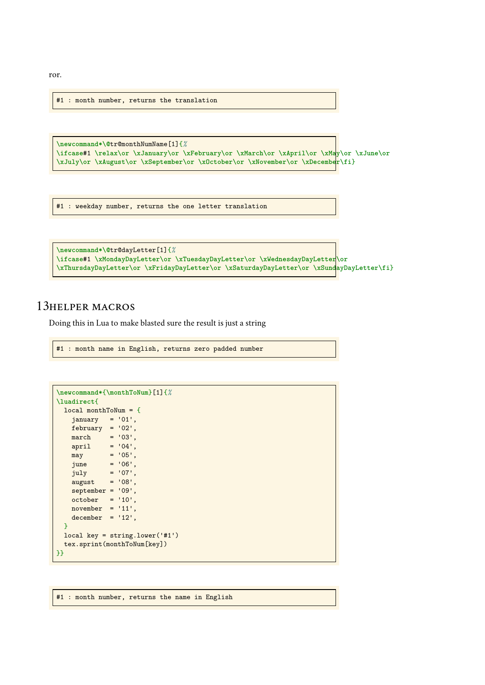ror.

#1 : month number, returns the translation

```
\newcommand*\@tr@monthNumName[1]{%
\ifcase#1 \relax\or \xJanuary\or \xFebruary\or \xMarch\or \xApril\or \xMay\or \xJune\or
\xJuly\or \xAugust\or \xSeptember\or \xOctober\or \xNovember\or \xDecember\fi}
```
#1 : weekday number, returns the one letter translation

```
\newcommand*\@tr@dayLetter[1]{%
\ifcase#1 \xMondayDayLetter\or \xTuesdayDayLetter\or \xWednesdayDayLetter\or
\xThursdayDayLetter\or \xFridayDayLetter\or \xSaturdayDayLetter\or \xSundayDayLetter\fi}
```
## <span id="page-39-0"></span>13helper macros

Doing this in Lua to make blasted sure the result is just a string

```
#1 : month name in English, returns zero padded number
```

```
\newcommand*{\monthToNum}[1]{%
\luadirect{
 local monthToNum = {
   january = '01',february = '02',march = '03',
   april = '04',may = '05',<br>june = '06'.
   june = '06',<br>july = '07',
             = '07',
   august = '08',
   september = '09',october = '10',november = '11',decenter = '12',}
 local key = string.lower('#1')
 tex.sprint(monthToNum[key])
}}
```